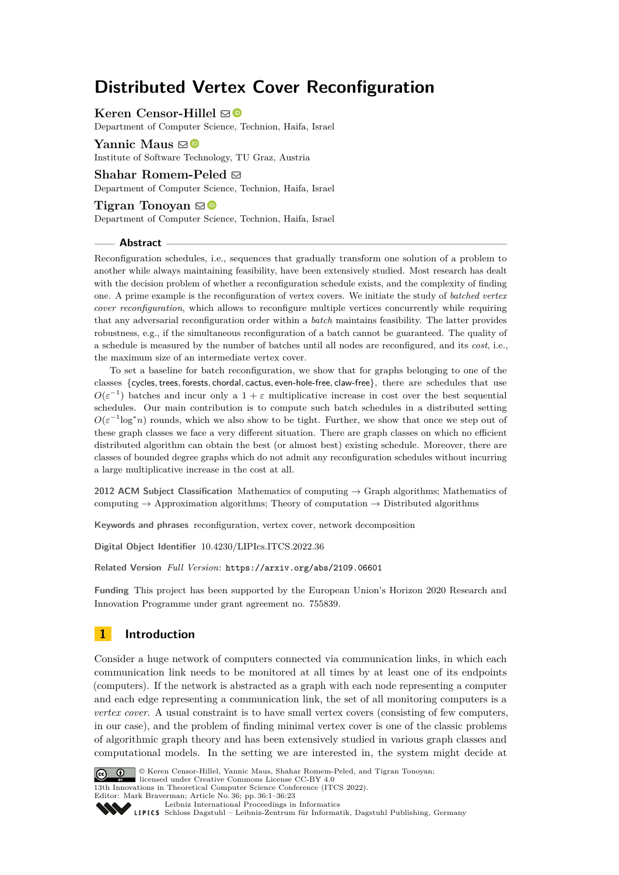# **Distributed Vertex Cover Reconfiguration**

**Keren Censor-Hillel** ⊠<sup>■</sup>

Department of Computer Science, Technion, Haifa, Israel

**Yannic Maus** ⊠<sup>■</sup> Institute of Software Technology, TU Graz, Austria

Shahar Romem-Peled  $\boxdot$ 

Department of Computer Science, Technion, Haifa, Israel

### **Tigran Tonoyan**  $\mathbf{\mathbb{S}}\mathbf{\mathbb{C}}$

Department of Computer Science, Technion, Haifa, Israel

### **Abstract**

Reconfiguration schedules, i.e., sequences that gradually transform one solution of a problem to another while always maintaining feasibility, have been extensively studied. Most research has dealt with the decision problem of whether a reconfiguration schedule exists, and the complexity of finding one. A prime example is the reconfiguration of vertex covers. We initiate the study of *batched vertex cover reconfiguration*, which allows to reconfigure multiple vertices concurrently while requiring that any adversarial reconfiguration order within a *batch* maintains feasibility. The latter provides robustness, e.g., if the simultaneous reconfiguration of a batch cannot be guaranteed. The quality of a schedule is measured by the number of batches until all nodes are reconfigured, and its *cost*, i.e., the maximum size of an intermediate vertex cover.

To set a baseline for batch reconfiguration, we show that for graphs belonging to one of the classes {cycles*,*trees*,* forests*,* chordal*,* cactus*,* even-hole-free*,* claw-free}, there are schedules that use  $O(\varepsilon^{-1})$  batches and incur only a  $1 + \varepsilon$  multiplicative increase in cost over the best sequential schedules. Our main contribution is to compute such batch schedules in a distributed setting  $O(\varepsilon^{-1} \log^* n)$  rounds, which we also show to be tight. Further, we show that once we step out of these graph classes we face a very different situation. There are graph classes on which no efficient distributed algorithm can obtain the best (or almost best) existing schedule. Moreover, there are classes of bounded degree graphs which do not admit any reconfiguration schedules without incurring a large multiplicative increase in the cost at all.

**2012 ACM Subject Classification** Mathematics of computing → Graph algorithms; Mathematics of computing  $\rightarrow$  Approximation algorithms; Theory of computation  $\rightarrow$  Distributed algorithms

**Keywords and phrases** reconfiguration, vertex cover, network decomposition

**Digital Object Identifier** [10.4230/LIPIcs.ITCS.2022.36](https://doi.org/10.4230/LIPIcs.ITCS.2022.36)

**Related Version** *Full Version*: <https://arxiv.org/abs/2109.06601>

**Funding** This project has been supported by the European Union's Horizon 2020 Research and Innovation Programme under grant agreement no. 755839.

# **1 Introduction**

Consider a huge network of computers connected via communication links, in which each communication link needs to be monitored at all times by at least one of its endpoints (computers). If the network is abstracted as a graph with each node representing a computer and each edge representing a communication link, the set of all monitoring computers is a *vertex cover*. A usual constraint is to have small vertex covers (consisting of few computers, in our case), and the problem of finding minimal vertex cover is one of the classic problems of algorithmic graph theory and has been extensively studied in various graph classes and computational models. In the setting we are interested in, the system might decide at



© Keren Censor-Hillel, Yannic Maus, Shahar Romem-Peled, and Tigran Tonoyan; licensed under Creative Commons License CC-BY 4.0

13th Innovations in Theoretical Computer Science Conference (ITCS 2022).

Editor: Mark Braverman; Article No. 36; pp. 36:1–36:23 [Leibniz International Proceedings in Informatics](https://www.dagstuhl.de/lipics/)

Leibniz International Froceedings in Informatik, Dagstuhl Publishing, Germany<br>LIPICS [Schloss Dagstuhl – Leibniz-Zentrum für Informatik, Dagstuhl Publishing, Germany](https://www.dagstuhl.de)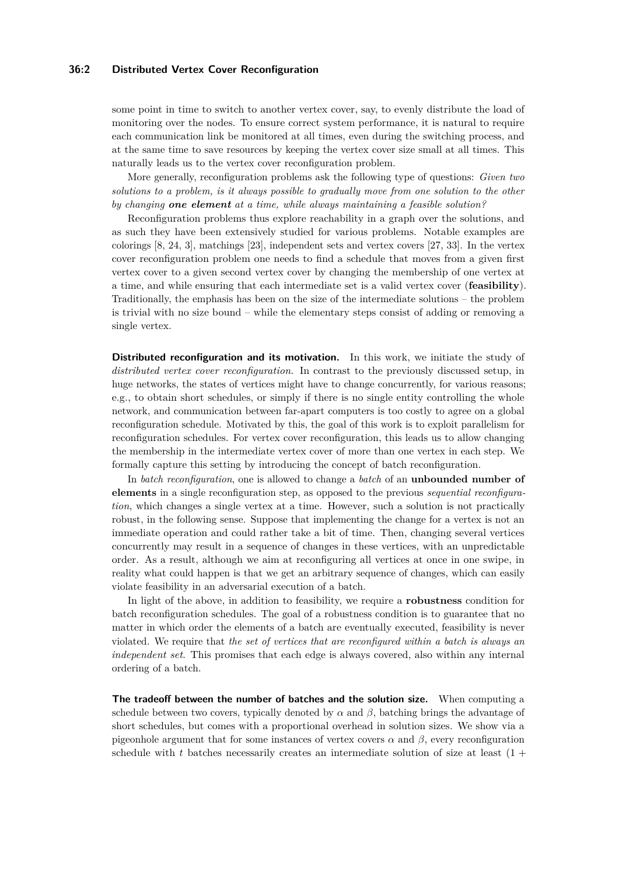### **36:2 Distributed Vertex Cover Reconfiguration**

some point in time to switch to another vertex cover, say, to evenly distribute the load of monitoring over the nodes. To ensure correct system performance, it is natural to require each communication link be monitored at all times, even during the switching process, and at the same time to save resources by keeping the vertex cover size small at all times. This naturally leads us to the vertex cover reconfiguration problem.

More generally, reconfiguration problems ask the following type of questions: *Given two solutions to a problem, is it always possible to gradually move from one solution to the other by changing one element at a time, while always maintaining a feasible solution?*

Reconfiguration problems thus explore reachability in a graph over the solutions, and as such they have been extensively studied for various problems. Notable examples are colorings [\[8,](#page-20-0) [24,](#page-21-0) [3\]](#page-19-0), matchings [\[23\]](#page-21-1), independent sets and vertex covers [\[27,](#page-21-2) [33\]](#page-21-3). In the vertex cover reconfiguration problem one needs to find a schedule that moves from a given first vertex cover to a given second vertex cover by changing the membership of one vertex at a time, and while ensuring that each intermediate set is a valid vertex cover (**feasibility**). Traditionally, the emphasis has been on the size of the intermediate solutions – the problem is trivial with no size bound – while the elementary steps consist of adding or removing a single vertex.

**Distributed reconfiguration and its motivation.** In this work, we initiate the study of *distributed vertex cover reconfiguration*. In contrast to the previously discussed setup, in huge networks, the states of vertices might have to change concurrently, for various reasons; e.g., to obtain short schedules, or simply if there is no single entity controlling the whole network, and communication between far-apart computers is too costly to agree on a global reconfiguration schedule. Motivated by this, the goal of this work is to exploit parallelism for reconfiguration schedules. For vertex cover reconfiguration, this leads us to allow changing the membership in the intermediate vertex cover of more than one vertex in each step. We formally capture this setting by introducing the concept of batch reconfiguration.

In *batch reconfiguration*, one is allowed to change a *batch* of an **unbounded number of elements** in a single reconfiguration step, as opposed to the previous *sequential reconfiguration*, which changes a single vertex at a time. However, such a solution is not practically robust, in the following sense. Suppose that implementing the change for a vertex is not an immediate operation and could rather take a bit of time. Then, changing several vertices concurrently may result in a sequence of changes in these vertices, with an unpredictable order. As a result, although we aim at reconfiguring all vertices at once in one swipe, in reality what could happen is that we get an arbitrary sequence of changes, which can easily violate feasibility in an adversarial execution of a batch.

In light of the above, in addition to feasibility, we require a **robustness** condition for batch reconfiguration schedules. The goal of a robustness condition is to guarantee that no matter in which order the elements of a batch are eventually executed, feasibility is never violated. We require that *the set of vertices that are reconfigured within a batch is always an independent set*. This promises that each edge is always covered, also within any internal ordering of a batch.

**The tradeoff between the number of batches and the solution size.** When computing a schedule between two covers, typically denoted by  $\alpha$  and  $\beta$ , batching brings the advantage of short schedules, but comes with a proportional overhead in solution sizes. We show via a pigeonhole argument that for some instances of vertex covers  $\alpha$  and  $\beta$ , every reconfiguration schedule with  $t$  batches necessarily creates an intermediate solution of size at least  $(1 +$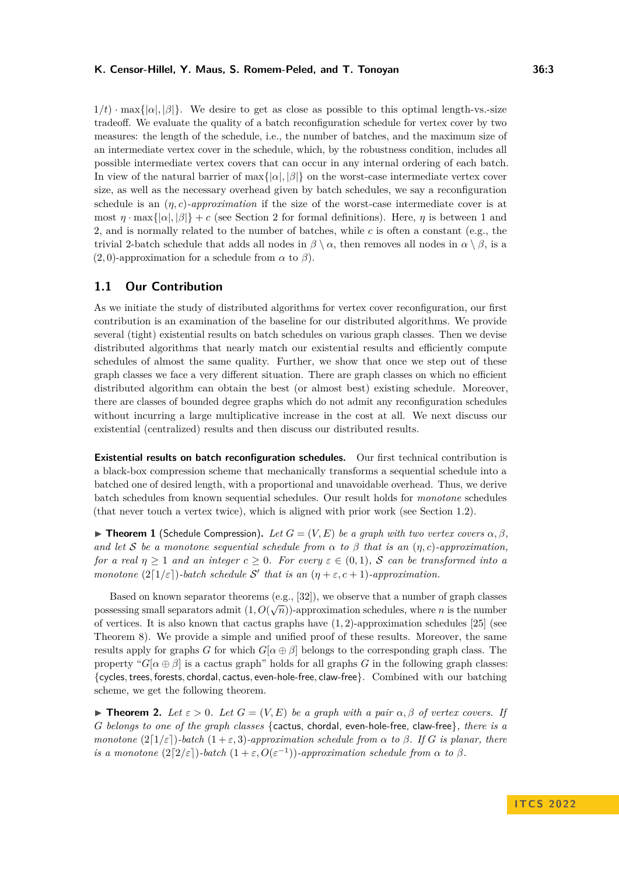$1/t$ ) · max $\{|a|, |\beta|\}$ . We desire to get as close as possible to this optimal length-vs.-size tradeoff. We evaluate the quality of a batch reconfiguration schedule for vertex cover by two measures: the length of the schedule, i.e., the number of batches, and the maximum size of an intermediate vertex cover in the schedule, which, by the robustness condition, includes all possible intermediate vertex covers that can occur in any internal ordering of each batch. In view of the natural barrier of  $\max\{|\alpha|, |\beta|\}$  on the worst-case intermediate vertex cover size, as well as the necessary overhead given by batch schedules, we say a reconfiguration schedule is an (*η, c*)*-approximation* if the size of the worst-case intermediate cover is at most  $\eta \cdot \max\{|\alpha|, |\beta|\} + c$  (see Section [2](#page-6-0) for formal definitions). Here,  $\eta$  is between 1 and 2, and is normally related to the number of batches, while *c* is often a constant (e.g., the trivial 2-batch schedule that adds all nodes in  $\beta \setminus \alpha$ , then removes all nodes in  $\alpha \setminus \beta$ , is a (2*,* 0)-approximation for a schedule from *α* to *β*).

# **1.1 Our Contribution**

As we initiate the study of distributed algorithms for vertex cover reconfiguration, our first contribution is an examination of the baseline for our distributed algorithms. We provide several (tight) existential results on batch schedules on various graph classes. Then we devise distributed algorithms that nearly match our existential results and efficiently compute schedules of almost the same quality. Further, we show that once we step out of these graph classes we face a very different situation. There are graph classes on which no efficient distributed algorithm can obtain the best (or almost best) existing schedule. Moreover, there are classes of bounded degree graphs which do not admit any reconfiguration schedules without incurring a large multiplicative increase in the cost at all. We next discuss our existential (centralized) results and then discuss our distributed results.

**Existential results on batch reconfiguration schedules.** Our first technical contribution is a black-box compression scheme that mechanically transforms a sequential schedule into a batched one of desired length, with a proportional and unavoidable overhead. Thus, we derive batch schedules from known sequential schedules. Our result holds for *monotone* schedules (that never touch a vertex twice), which is aligned with prior work (see Section [1.2\)](#page-5-0).

<span id="page-2-0"></span> $\blacktriangleright$  **Theorem 1** (Schedule Compression). Let  $G = (V, E)$  be a graph with two vertex covers  $\alpha, \beta$ , *and let* S *be a monotone sequential schedule from*  $\alpha$  *to*  $\beta$  *that is an*  $(\eta, c)$ *-approximation, for a real*  $\eta \geq 1$  *and an integer*  $c \geq 0$ *. For every*  $\varepsilon \in (0,1)$ *, S can be transformed into a monotone*  $(2\lceil 1/\varepsilon \rceil)$ *-batch schedule* S' that is an  $(\eta + \varepsilon, c + 1)$ *-approximation.* 

Based on known separator theorems (e.g., [\[32\]](#page-21-4)), we observe that a number of graph classes possessing small separators admit  $(1, O(\sqrt{n}))$ -approximation schedules, where *n* is the number of vertices. It is also known that cactus graphs have (1*,* 2)-approximation schedules [\[25\]](#page-21-5) (see Theorem [8\)](#page-8-0). We provide a simple and unified proof of these results. Moreover, the same results apply for graphs *G* for which  $G[\alpha \oplus \beta]$  belongs to the corresponding graph class. The property " $G[\alpha \oplus \beta]$  is a cactus graph" holds for all graphs *G* in the following graph classes: {cycles*,*trees*,* forests*,* chordal*,* cactus*,* even-hole-free*,* claw-free}. Combined with our batching scheme, we get the following theorem.

<span id="page-2-1"></span>**Find z** *Let*  $\varepsilon > 0$ *. Let*  $G = (V, E)$  *be a graph with a pair*  $\alpha, \beta$  *of vertex covers.* If *G belongs to one of the graph classes* {cactus, chordal, even-hole-free, claw-free}*, there is a monotone*  $(2\lceil 1/\varepsilon \rceil)$ *-batch*  $(1+\varepsilon,3)$ *-approximation schedule from*  $\alpha$  *to*  $\beta$ *. If G is planar, there is a monotone*  $(2[2/\varepsilon])$ *-batch*  $(1+\varepsilon, O(\varepsilon^{-1}))$ *-approximation schedule from*  $\alpha$  *to*  $\beta$ *.*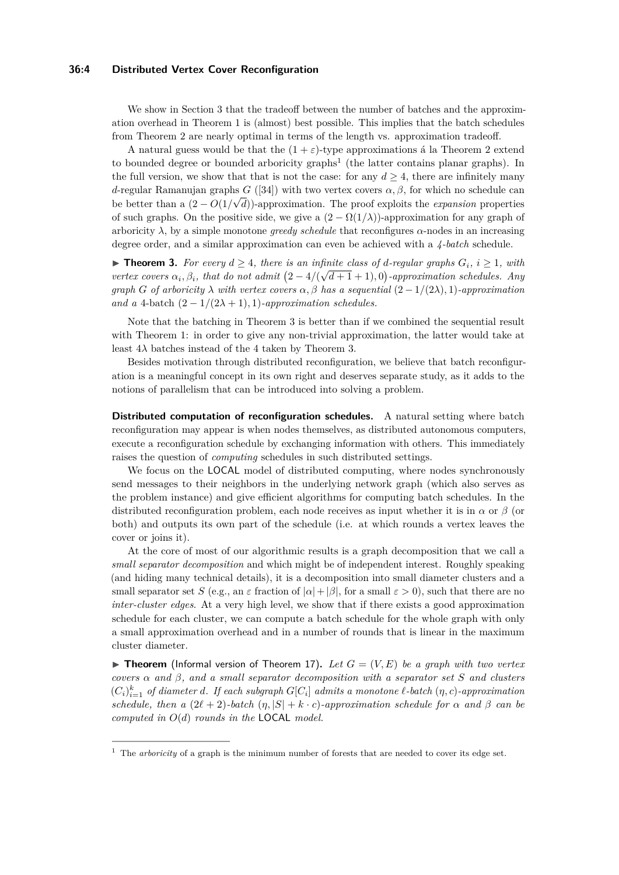### **36:4 Distributed Vertex Cover Reconfiguration**

We show in Section [3](#page-7-0) that the tradeoff between the number of batches and the approximation overhead in Theorem [1](#page-2-0) is (almost) best possible. This implies that the batch schedules from Theorem [2](#page-2-1) are nearly optimal in terms of the length vs. approximation tradeoff.

A natural guess would be that the  $(1 + \varepsilon)$ -type approximations á la Theorem [2](#page-2-1) extend to bounded degree or bounded arboricity graphs<sup>[1](#page-3-0)</sup> (the latter contains planar graphs). In the full version, we show that that is not the case: for any  $d \geq 4$ , there are infinitely many *d*-regular Ramanujan graphs  $G([34])$  $G([34])$  $G([34])$  with two vertex covers  $\alpha, \beta$ , for which no schedule can be better than a  $(2 - O(1/\sqrt{d}))$ -approximation. The proof exploits the *expansion* properties of such graphs. On the positive side, we give a  $(2 - \Omega(1/\lambda))$ -approximation for any graph of arboricity  $\lambda$ , by a simple monotone *greedy schedule* that reconfigures  $\alpha$ -nodes in an increasing degree order, and a similar approximation can even be achieved with a *4-batch* schedule.

<span id="page-3-1"></span>▶ **Theorem 3.** For every  $d \geq 4$ , there is an infinite class of *d*-regular graphs  $G_i$ ,  $i \geq 1$ , with *vertex covers*  $\alpha_i, \beta_i$ , that do not admit  $(2 - 4/(\sqrt{d+1} + 1), 0)$ -approximation schedules. Any *graph G of arboricity*  $\lambda$  *with vertex covers*  $\alpha$ ,  $\beta$  *has a sequential*  $(2 - 1/(2\lambda), 1)$ *-approximation and a* 4-batch  $(2 - 1/(2\lambda + 1), 1)$ *-approximation schedules.* 

Note that the batching in Theorem [3](#page-3-1) is better than if we combined the sequential result with Theorem [1:](#page-2-0) in order to give any non-trivial approximation, the latter would take at least  $4\lambda$  batches instead of the 4 taken by Theorem [3.](#page-3-1)

Besides motivation through distributed reconfiguration, we believe that batch reconfiguration is a meaningful concept in its own right and deserves separate study, as it adds to the notions of parallelism that can be introduced into solving a problem.

**Distributed computation of reconfiguration schedules.** A natural setting where batch reconfiguration may appear is when nodes themselves, as distributed autonomous computers, execute a reconfiguration schedule by exchanging information with others. This immediately raises the question of *computing* schedules in such distributed settings.

We focus on the LOCAL model of distributed computing, where nodes synchronously send messages to their neighbors in the underlying network graph (which also serves as the problem instance) and give efficient algorithms for computing batch schedules. In the distributed reconfiguration problem, each node receives as input whether it is in  $\alpha$  or  $\beta$  (or both) and outputs its own part of the schedule (i.e. at which rounds a vertex leaves the cover or joins it).

At the core of most of our algorithmic results is a graph decomposition that we call a *small separator decomposition* and which might be of independent interest. Roughly speaking (and hiding many technical details), it is a decomposition into small diameter clusters and a small separator set *S* (e.g., an  $\varepsilon$  fraction of  $|\alpha| + |\beta|$ , for a small  $\varepsilon > 0$ ), such that there are no *inter-cluster edges*. At a very high level, we show that if there exists a good approximation schedule for each cluster, we can compute a batch schedule for the whole graph with only a small approximation overhead and in a number of rounds that is linear in the maximum cluster diameter.

 $\blacktriangleright$  **Theorem** (Informal version of Theorem [17\)](#page-14-0). Let  $G = (V, E)$  be a graph with two vertex *covers α and β, and a small separator decomposition with a separator set S and clusters*  $(C_i)_{i=1}^k$  *of diameter d. If each subgraph*  $G[C_i]$  *admits a monotone*  $\ell$ *-batch*  $(\eta, c)$ *-approximation schedule, then a*  $(2\ell + 2)$ *-batch*  $(\eta, |S| + k \cdot c)$ *-approximation schedule for*  $\alpha$  *and*  $\beta$  *can be computed in O*(*d*) *rounds in the* LOCAL *model.*

<span id="page-3-0"></span><sup>&</sup>lt;sup>1</sup> The *arboricity* of a graph is the minimum number of forests that are needed to cover its edge set.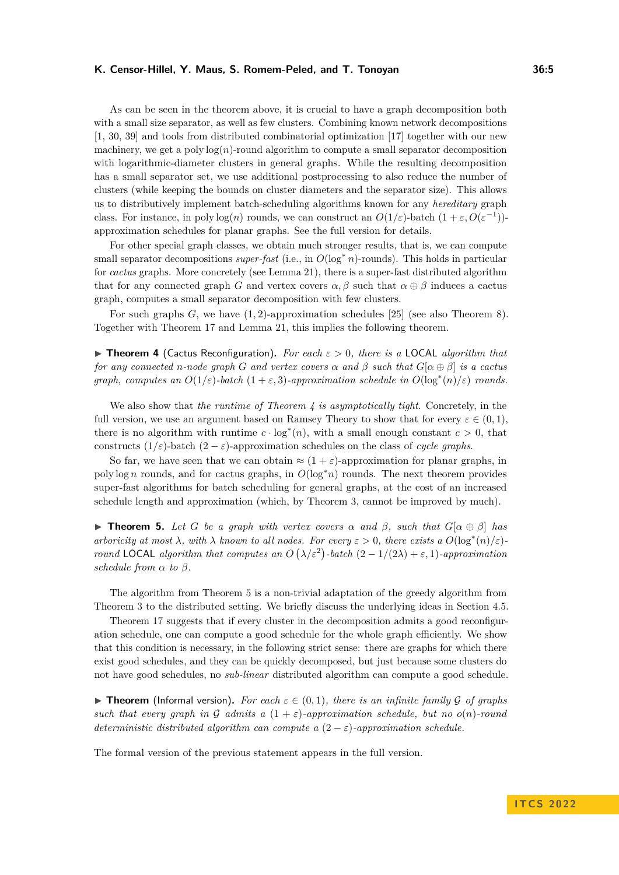As can be seen in the theorem above, it is crucial to have a graph decomposition both with a small size separator, as well as few clusters. Combining known network decompositions [\[1,](#page-19-1) [30,](#page-21-7) [39\]](#page-22-0) and tools from distributed combinatorial optimization [\[17\]](#page-20-1) together with our new machinery, we get a  $poly \log(n)$ -round algorithm to compute a small separator decomposition with logarithmic-diameter clusters in general graphs. While the resulting decomposition has a small separator set, we use additional postprocessing to also reduce the number of clusters (while keeping the bounds on cluster diameters and the separator size). This allows us to distributively implement batch-scheduling algorithms known for any *hereditary* graph class. For instance, in poly  $log(n)$  rounds, we can construct an  $O(1/\varepsilon)$ -batch  $(1+\varepsilon, O(\varepsilon^{-1}))$ approximation schedules for planar graphs. See the full version for details.

For other special graph classes, we obtain much stronger results, that is, we can compute small separator decompositions *super-fast* (i.e., in *O*(log<sup>∗</sup> *n*)-rounds). This holds in particular for *cactus* graphs. More concretely (see Lemma [21\)](#page-17-0), there is a super-fast distributed algorithm that for any connected graph *G* and vertex covers  $\alpha, \beta$  such that  $\alpha \oplus \beta$  induces a cactus graph, computes a small separator decomposition with few clusters.

For such graphs *G*, we have (1*,* 2)-approximation schedules [\[25\]](#page-21-5) (see also Theorem [8\)](#page-8-0). Together with Theorem [17](#page-14-0) and Lemma [21,](#page-17-0) this implies the following theorem.

<span id="page-4-0"></span>▶ **Theorem 4** (Cactus Reconfiguration)**.** *For each ε >* 0*, there is a* LOCAL *algorithm that for any connected n*-node graph *G* and vertex covers  $\alpha$  and  $\beta$  such that  $G[\alpha \oplus \beta]$  is a cactus *graph, computes an*  $O(1/\varepsilon)$ *-batch*  $(1 + \varepsilon, 3)$ *-approximation schedule in*  $O(\log^*(n)/\varepsilon)$  *rounds.* 

We also show that *the runtime of Theorem [4](#page-4-0) is asymptotically tight*. Concretely, in the full version, we use an argument based on Ramsey Theory to show that for every  $\varepsilon \in (0,1)$ , there is no algorithm with runtime  $c \cdot \log^*(n)$ , with a small enough constant  $c > 0$ , that constructs  $(1/\varepsilon)$ -batch  $(2 - \varepsilon)$ -approximation schedules on the class of *cycle graphs*.

So far, we have seen that we can obtain  $\approx (1 + \varepsilon)$ -approximation for planar graphs, in poly log *n* rounds, and for cactus graphs, in  $O(\log^* n)$  rounds. The next theorem provides super-fast algorithms for batch scheduling for general graphs, at the cost of an increased schedule length and approximation (which, by Theorem [3,](#page-3-1) cannot be improved by much).

<span id="page-4-1"></span> $\triangleright$  **Theorem 5.** Let G be a graph with vertex covers  $\alpha$  and  $\beta$ , such that  $G[\alpha \oplus \beta]$  has *arboricity at most*  $\lambda$ *, with*  $\lambda$  *known to all nodes. For every*  $\varepsilon > 0$ *, there exists a*  $O(\log^*(n)/\varepsilon)$ *round* LOCAL *algorithm that computes an*  $O(\lambda/\varepsilon^2)$ -batch  $(2-1/(2\lambda)+\varepsilon, 1)$ -approximation *schedule from*  $\alpha$  *to*  $\beta$ *.* 

The algorithm from Theorem [5](#page-4-1) is a non-trivial adaptation of the greedy algorithm from Theorem [3](#page-3-1) to the distributed setting. We briefly discuss the underlying ideas in Section [4.5.](#page-19-2)

Theorem [17](#page-14-0) suggests that if every cluster in the decomposition admits a good reconfiguration schedule, one can compute a good schedule for the whole graph efficiently. We show that this condition is necessary, in the following strict sense: there are graphs for which there exist good schedules, and they can be quickly decomposed, but just because some clusters do not have good schedules, no *sub-linear* distributed algorithm can compute a good schedule.

 $\blacktriangleright$  **Theorem** (Informal version). For each  $\varepsilon \in (0,1)$ , there is an infinite family G of graphs *such that every graph in* G *admits a*  $(1+\varepsilon)$ *-approximation schedule, but no*  $o(n)$ *-round deterministic distributed algorithm can compute a*  $(2 - \varepsilon)$ *-approximation schedule.* 

The formal version of the previous statement appears in the full version.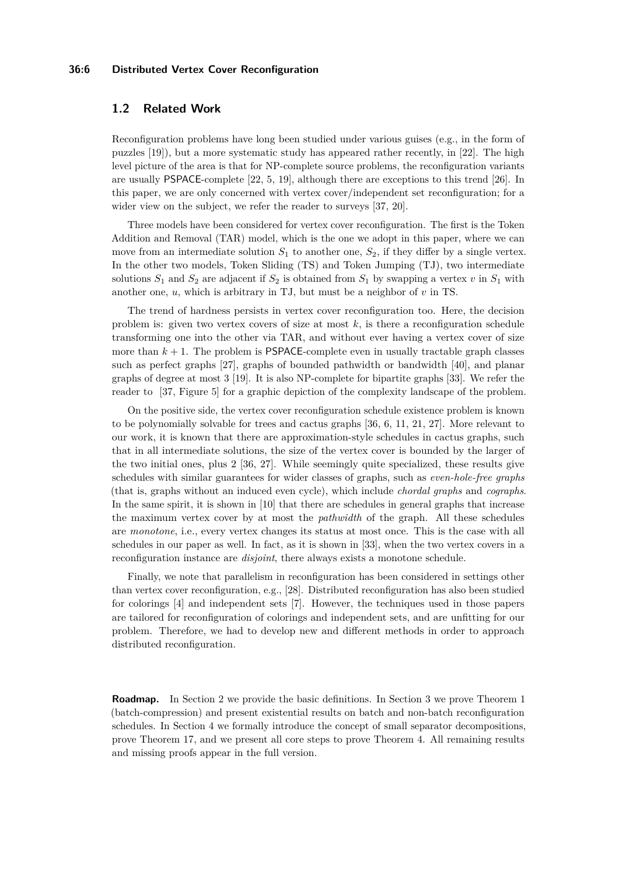### **36:6 Distributed Vertex Cover Reconfiguration**

# <span id="page-5-0"></span>**1.2 Related Work**

Reconfiguration problems have long been studied under various guises (e.g., in the form of puzzles [\[19\]](#page-20-2)), but a more systematic study has appeared rather recently, in [\[22\]](#page-21-8). The high level picture of the area is that for NP-complete source problems, the reconfiguration variants are usually PSPACE-complete [\[22,](#page-21-8) [5,](#page-20-3) [19\]](#page-20-2), although there are exceptions to this trend [\[26\]](#page-21-9). In this paper, we are only concerned with vertex cover/independent set reconfiguration; for a wider view on the subject, we refer the reader to surveys [\[37,](#page-21-10) [20\]](#page-21-11).

Three models have been considered for vertex cover reconfiguration. The first is the Token Addition and Removal (TAR) model, which is the one we adopt in this paper, where we can move from an intermediate solution  $S_1$  to another one,  $S_2$ , if they differ by a single vertex. In the other two models, Token Sliding (TS) and Token Jumping (TJ), two intermediate solutions  $S_1$  and  $S_2$  are adjacent if  $S_2$  is obtained from  $S_1$  by swapping a vertex  $v$  in  $S_1$  with another one, *u*, which is arbitrary in TJ, but must be a neighbor of *v* in TS.

The trend of hardness persists in vertex cover reconfiguration too. Here, the decision problem is: given two vertex covers of size at most  $k$ , is there a reconfiguration schedule transforming one into the other via TAR, and without ever having a vertex cover of size more than  $k + 1$ . The problem is **PSPACE**-complete even in usually tractable graph classes such as perfect graphs [\[27\]](#page-21-2), graphs of bounded pathwidth or bandwidth [\[40\]](#page-22-1), and planar graphs of degree at most 3 [\[19\]](#page-20-2). It is also NP-complete for bipartite graphs [\[33\]](#page-21-3). We refer the reader to [\[37,](#page-21-10) Figure 5] for a graphic depiction of the complexity landscape of the problem.

On the positive side, the vertex cover reconfiguration schedule existence problem is known to be polynomially solvable for trees and cactus graphs [\[36,](#page-21-12) [6,](#page-20-4) [11,](#page-20-5) [21,](#page-21-13) [27\]](#page-21-2). More relevant to our work, it is known that there are approximation-style schedules in cactus graphs, such that in all intermediate solutions, the size of the vertex cover is bounded by the larger of the two initial ones, plus 2 [\[36,](#page-21-12) [27\]](#page-21-2). While seemingly quite specialized, these results give schedules with similar guarantees for wider classes of graphs, such as *even-hole-free graphs* (that is, graphs without an induced even cycle), which include *chordal graphs* and *cographs*. In the same spirit, it is shown in [\[10\]](#page-20-6) that there are schedules in general graphs that increase the maximum vertex cover by at most the *pathwidth* of the graph. All these schedules are *monotone*, i.e., every vertex changes its status at most once. This is the case with all schedules in our paper as well. In fact, as it is shown in [\[33\]](#page-21-3), when the two vertex covers in a reconfiguration instance are *disjoint*, there always exists a monotone schedule.

Finally, we note that parallelism in reconfiguration has been considered in settings other than vertex cover reconfiguration, e.g., [\[28\]](#page-21-14). Distributed reconfiguration has also been studied for colorings [\[4\]](#page-20-7) and independent sets [\[7\]](#page-20-8). However, the techniques used in those papers are tailored for reconfiguration of colorings and independent sets, and are unfitting for our problem. Therefore, we had to develop new and different methods in order to approach distributed reconfiguration.

**Roadmap.** In Section [2](#page-6-0) we provide the basic definitions. In Section [3](#page-7-0) we prove Theorem [1](#page-2-0) (batch-compression) and present existential results on batch and non-batch reconfiguration schedules. In Section [4](#page-11-0) we formally introduce the concept of small separator decompositions, prove Theorem [17,](#page-14-0) and we present all core steps to prove Theorem [4.](#page-4-0) All remaining results and missing proofs appear in the full version.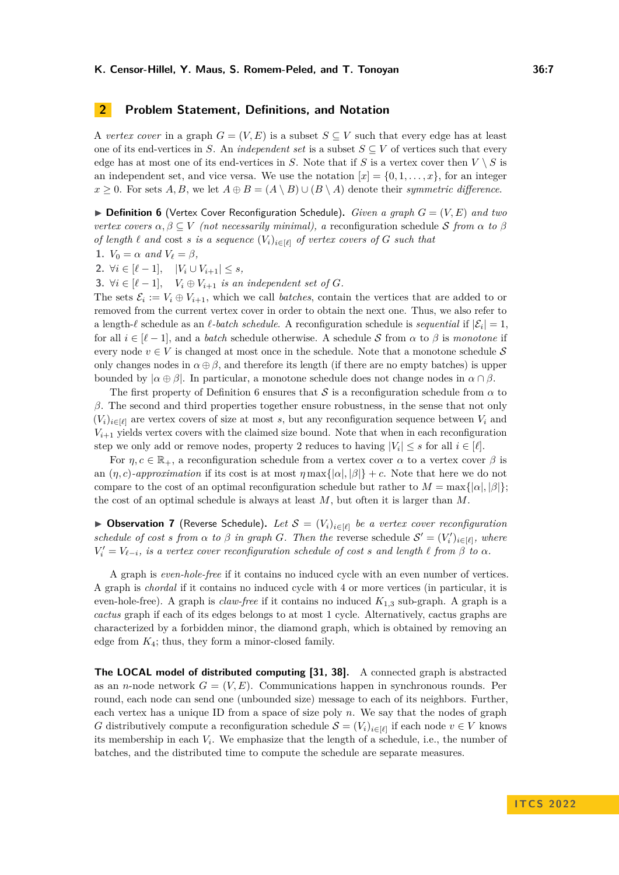# <span id="page-6-0"></span>**2 Problem Statement, Definitions, and Notation**

A *vertex cover* in a graph  $G = (V, E)$  is a subset  $S \subseteq V$  such that every edge has at least one of its end-vertices in *S*. An *independent set* is a subset  $S \subseteq V$  of vertices such that every edge has at most one of its end-vertices in *S*. Note that if *S* is a vertex cover then  $V \setminus S$  is an independent set, and vice versa. We use the notation  $[x] = \{0, 1, \ldots, x\}$ , for an integer  $x > 0$ . For sets *A, B,* we let  $A \oplus B = (A \setminus B) \cup (B \setminus A)$  denote their *symmetric difference*.

<span id="page-6-1"></span> $\triangleright$  **Definition 6** (Vertex Cover Reconfiguration Schedule). *Given a graph*  $G = (V, E)$  *and two vertex covers*  $\alpha, \beta \subseteq V$  *(not necessarily minimal), a* reconfiguration schedule S from  $\alpha$  to  $\beta$ *of length*  $\ell$  *and* cost *s is a sequence*  $(V_i)_{i \in [\ell]}$  *of vertex covers of*  $G$  *such that* 

1. 
$$
V_0 = \alpha
$$
 and  $V_\ell = \beta$ ,

**2.** ∀*i* ∈  $[\ell - 1]$ ,  $|V_i \cup V_{i+1}| \leq s$ ,

**3.**  $\forall i \in [\ell-1], \quad V_i \oplus V_{i+1}$  *is an independent set of G.* 

The sets  $\mathcal{E}_i := V_i \oplus V_{i+1}$ , which we call *batches*, contain the vertices that are added to or removed from the current vertex cover in order to obtain the next one. Thus, we also refer to a length- $\ell$  schedule as an  $\ell$ -batch schedule. A reconfiguration schedule is *sequential* if  $|\mathcal{E}_i| = 1$ , for all  $i \in [\ell-1]$ , and a *batch* schedule otherwise. A schedule S from  $\alpha$  to  $\beta$  is *monotone* if every node  $v \in V$  is changed at most once in the schedule. Note that a monotone schedule S only changes nodes in  $\alpha \oplus \beta$ , and therefore its length (if there are no empty batches) is upper bounded by  $|\alpha \oplus \beta|$ . In particular, a monotone schedule does not change nodes in  $\alpha \cap \beta$ .

The first property of Definition [6](#page-6-1) ensures that S is a reconfiguration schedule from  $\alpha$  to *β*. The second and third properties together ensure robustness, in the sense that not only  $(V_i)_{i\in[\ell]}$  are vertex covers of size at most *s*, but any reconfiguration sequence between  $V_i$  and  $V_{i+1}$  yields vertex covers with the claimed size bound. Note that when in each reconfiguration step we only add or remove nodes, property 2 reduces to having  $|V_i| \leq s$  for all  $i \in [\ell]$ .

For  $\eta, c \in \mathbb{R}_+$ , a reconfiguration schedule from a vertex cover  $\alpha$  to a vertex cover  $\beta$  is an  $(\eta, c)$ -approximation if its cost is at most  $\eta$  max $\{|\alpha|, |\beta|\} + c$ . Note that here we do not compare to the cost of an optimal reconfiguration schedule but rather to  $M = \max\{|\alpha|, |\beta|\}$ ; the cost of an optimal schedule is always at least *M*, but often it is larger than *M*.

<span id="page-6-2"></span>▶ **Observation 7** (Reverse Schedule). Let  $S = (V_i)_{i \in [\ell]}$  be a vertex cover reconfiguration *schedule of cost s from*  $\alpha$  *to*  $\beta$  *in graph*  $G$ *. Then the* reverse schedule  $S' = (V'_i)_{i \in [\ell]}$ *, where*  $V_i' = V_{\ell-i}$ , is a vertex cover reconfiguration schedule of cost *s* and length  $\ell$  from  $\beta$  to  $\alpha$ .

A graph is *even-hole-free* if it contains no induced cycle with an even number of vertices. A graph is *chordal* if it contains no induced cycle with 4 or more vertices (in particular, it is even-hole-free). A graph is *claw-free* if it contains no induced *K*1*,*<sup>3</sup> sub-graph. A graph is a *cactus* graph if each of its edges belongs to at most 1 cycle. Alternatively, cactus graphs are characterized by a forbidden minor, the diamond graph, which is obtained by removing an edge from *K*4; thus, they form a minor-closed family.

**The LOCAL model of distributed computing [\[31,](#page-21-15) [38\]](#page-22-2).** A connected graph is abstracted as an *n*-node network  $G = (V, E)$ . Communications happen in synchronous rounds. Per round, each node can send one (unbounded size) message to each of its neighbors. Further, each vertex has a unique ID from a space of size poly *n*. We say that the nodes of graph *G* distributively compute a reconfiguration schedule  $S = (V_i)_{i \in [\ell]}$  if each node  $v \in V$  knows its membership in each *V<sup>i</sup>* . We emphasize that the length of a schedule, i.e., the number of batches, and the distributed time to compute the schedule are separate measures.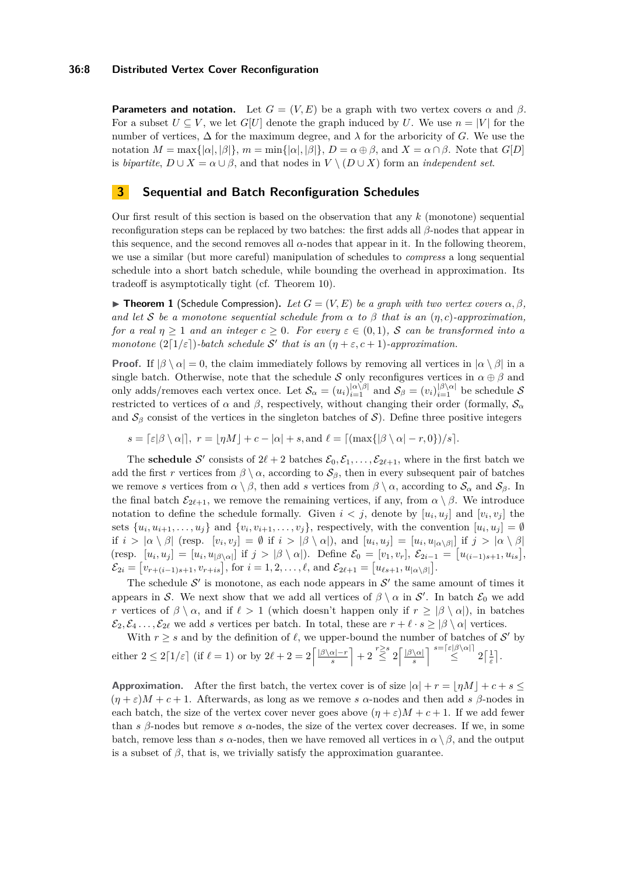### **36:8 Distributed Vertex Cover Reconfiguration**

**Parameters and notation.** Let  $G = (V, E)$  be a graph with two vertex covers  $\alpha$  and  $\beta$ . For a subset  $U \subseteq V$ , we let  $G[U]$  denote the graph induced by *U*. We use  $n = |V|$  for the number of vertices,  $\Delta$  for the maximum degree, and  $\lambda$  for the arboricity of *G*. We use the notation  $M = \max\{|\alpha|, |\beta|\}, m = \min\{|\alpha|, |\beta|\}, D = \alpha \oplus \beta$ , and  $X = \alpha \cap \beta$ . Note that  $G[D]$ is *bipartite*,  $D \cup X = \alpha \cup \beta$ , and that nodes in  $V \setminus (D \cup X)$  form an *independent set*.

# <span id="page-7-0"></span>**3 Sequential and Batch Reconfiguration Schedules**

Our first result of this section is based on the observation that any *k* (monotone) sequential reconfiguration steps can be replaced by two batches: the first adds all *β*-nodes that appear in this sequence, and the second removes all  $\alpha$ -nodes that appear in it. In the following theorem, we use a similar (but more careful) manipulation of schedules to *compress* a long sequential schedule into a short batch schedule, while bounding the overhead in approximation. Its tradeoff is asymptotically tight (cf. Theorem [10\)](#page-9-0).

 $\blacktriangleright$  **Theorem 1** (Schedule Compression). Let  $G = (V, E)$  be a graph with two vertex covers  $\alpha, \beta$ . *and let* S *be a monotone sequential schedule from*  $\alpha$  *to*  $\beta$  *that is an*  $(\eta, c)$ *-approximation, for a real*  $\eta \geq 1$  *and an integer*  $c \geq 0$ *. For every*  $\varepsilon \in (0,1)$ *, S can be transformed into a monotone*  $(2\lceil 1/\varepsilon \rceil)$ *-batch schedule* S' that is an  $(\eta + \varepsilon, c + 1)$ *-approximation.* 

**Proof.** If  $|\beta \setminus \alpha| = 0$ , the claim immediately follows by removing all vertices in  $|\alpha \setminus \beta|$  in a single batch. Otherwise, note that the schedule S only reconfigures vertices in  $\alpha \oplus \beta$  and only adds/removes each vertex once. Let  $\mathcal{S}_{\alpha} = (u_i)_{i=1}^{|\alpha \setminus \beta|}$  and  $\mathcal{S}_{\beta} = (v_i)_{i=1}^{|\beta \setminus \alpha|}$  be schedule  $\mathcal{S}_{\beta}$ restricted to vertices of  $\alpha$  and  $\beta$ , respectively, without changing their order (formally,  $S_{\alpha}$ and  $S_\beta$  consist of the vertices in the singleton batches of S). Define three positive integers

$$
s = \lceil \varepsilon |\beta \setminus \alpha| \rceil, \ r = \lfloor \eta M \rfloor + c - |\alpha| + s, \text{and } \ell = \lceil (\max\{ |\beta \setminus \alpha| - r, 0 \}) / s \rceil.
$$

The **schedule** S' consists of  $2\ell + 2$  batches  $\mathcal{E}_0, \mathcal{E}_1, \ldots, \mathcal{E}_{2\ell+1}$ , where in the first batch we add the first *r* vertices from  $\beta \setminus \alpha$ , according to  $S_\beta$ , then in every subsequent pair of batches we remove *s* vertices from  $\alpha \setminus \beta$ , then add *s* vertices from  $\beta \setminus \alpha$ , according to  $S_{\alpha}$  and  $S_{\beta}$ . In the final batch  $\mathcal{E}_{2\ell+1}$ , we remove the remaining vertices, if any, from  $\alpha \setminus \beta$ . We introduce notation to define the schedule formally. Given  $i < j$ , denote by  $[u_i, u_j]$  and  $[v_i, v_j]$  the sets  $\{u_i, u_{i+1}, \ldots, u_j\}$  and  $\{v_i, v_{i+1}, \ldots, v_j\}$ , respectively, with the convention  $[u_i, u_j] = \emptyset$ if  $i > |\alpha \setminus \beta|$  (resp.  $[v_i, v_j] = \emptyset$  if  $i > |\beta \setminus \alpha|$ ), and  $[u_i, u_j] = [u_i, u_{|\alpha \setminus \beta}|$  if  $j > |\alpha \setminus \beta|$ (resp.  $[u_i, u_j] = [u_i, u_{|\beta \setminus \alpha|}]$  if  $j > |\beta \setminus \alpha|$ ). Define  $\mathcal{E}_0 = [v_1, v_r], \mathcal{E}_{2i-1} = [u_{(i-1)s+1}, u_{is}],$  $\mathcal{E}_{2i} = \left[ v_{r+(i-1)s+1}, v_{r+is} \right], \text{ for } i = 1, 2, \dots, \ell, \text{ and } \mathcal{E}_{2\ell+1} = \left[ u_{\ell s+1}, u_{|\alpha \setminus \beta|} \right].$ 

The schedule  $\mathcal{S}'$  is monotone, as each node appears in  $\mathcal{S}'$  the same amount of times it appears in S. We next show that we add all vertices of  $\beta \setminus \alpha$  in S'. In batch  $\mathcal{E}_0$  we add *r* vertices of  $\beta \setminus \alpha$ , and if  $\ell > 1$  (which doesn't happen only if  $r \geq |\beta \setminus \alpha|$ ), in batches  $\mathcal{E}_2, \mathcal{E}_4, \ldots, \mathcal{E}_{2\ell}$  we add *s* vertices per batch. In total, these are  $r + \ell \cdot s \geq |\beta \setminus \alpha|$  vertices.

With  $r \geq s$  and by the definition of  $\ell$ , we upper-bound the number of batches of  $\mathcal{S}'$  by either  $2 \leq 2\lceil 1/\varepsilon \rceil$  (if  $\ell = 1$ ) or by  $2\ell + 2 = 2\lceil \frac{|\beta \setminus \alpha| - r}{\varepsilon} \rceil$  $\left[\frac{\alpha|-r}{s}\right]+2\stackrel{r\geq s}{\leq}2\left[\frac{|\beta\backslash\alpha|}{s}\right]$  $\frac{\sqrt{\alpha}}{s}$   $\begin{bmatrix} s = \lceil \varepsilon | \beta \setminus \alpha \rceil \\ \leq \end{bmatrix} 2 \lceil \frac{1}{\varepsilon} \rceil.$ 

**Approximation.** After the first batch, the vertex cover is of size  $|a| + r = |*ηM*| + c + s \leq$  $(\eta + \varepsilon)M + c + 1$ . Afterwards, as long as we remove *s α*-nodes and then add *s β*-nodes in each batch, the size of the vertex cover never goes above  $(\eta + \varepsilon)M + c + 1$ . If we add fewer than *s β*-nodes but remove *s α*-nodes, the size of the vertex cover decreases. If we, in some batch, remove less than *s*  $\alpha$ -nodes, then we have removed all vertices in  $\alpha \setminus \beta$ , and the output is a subset of  $\beta$ , that is, we trivially satisfy the approximation guarantee.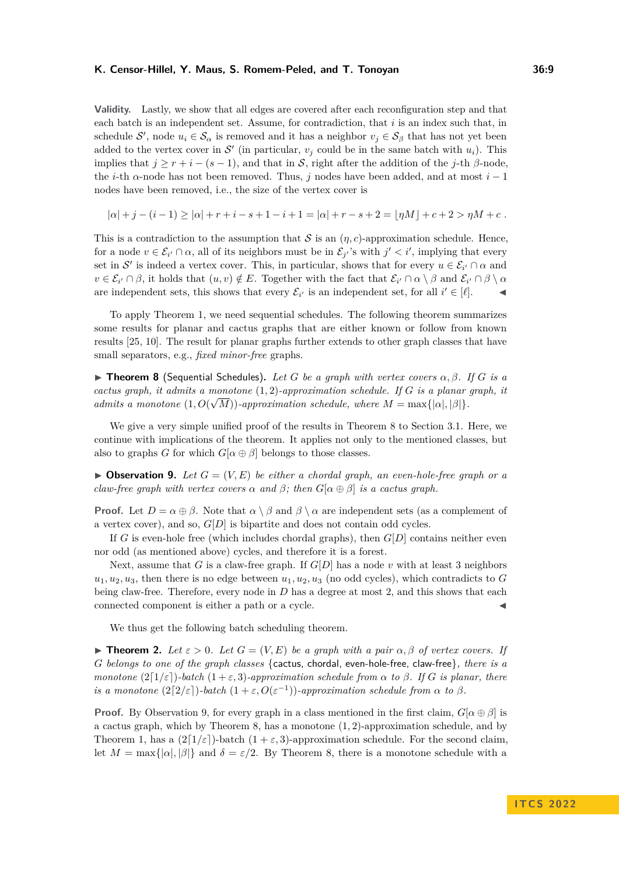**Validity.** Lastly, we show that all edges are covered after each reconfiguration step and that each batch is an independent set. Assume, for contradiction, that *i* is an index such that, in schedule S', node  $u_i \in S_\alpha$  is removed and it has a neighbor  $v_j \in S_\beta$  that has not yet been added to the vertex cover in  $\mathcal{S}'$  (in particular,  $v_j$  could be in the same batch with  $u_i$ ). This implies that  $j \geq r + i - (s - 1)$ , and that in S, right after the addition of the *j*-th  $\beta$ -node, the *i*-th *α*-node has not been removed. Thus, *j* nodes have been added, and at most *i* − 1 nodes have been removed, i.e., the size of the vertex cover is

 $|a| + i - (i - 1) \ge |a| + r + i - s + 1 - i + 1 = |a| + r - s + 2 = |nM| + c + 2 > nM + c$ .

This is a contradiction to the assumption that S is an  $(\eta, c)$ -approximation schedule. Hence, for a node  $v \in \mathcal{E}_{i'} \cap \alpha$ , all of its neighbors must be in  $\mathcal{E}_{j'}$ 's with  $j' < i'$ , implying that every set in S' is indeed a vertex cover. This, in particular, shows that for every  $u \in \mathcal{E}_{i'} \cap \alpha$  and  $v \in \mathcal{E}_{i'} \cap \beta$ , it holds that  $(u, v) \notin E$ . Together with the fact that  $\mathcal{E}_{i'} \cap \alpha \setminus \beta$  and  $\mathcal{E}_{i'} \cap \beta \setminus \alpha$ are independent sets, this shows that every  $\mathcal{E}_{i'}$  is an independent set, for all  $i' \in [\ell]$ .

To apply Theorem [1,](#page-2-0) we need sequential schedules. The following theorem summarizes some results for planar and cactus graphs that are either known or follow from known results [\[25,](#page-21-5) [10\]](#page-20-6). The result for planar graphs further extends to other graph classes that have small separators, e.g., *fixed minor-free* graphs.

<span id="page-8-0"></span>▶ **Theorem 8** (Sequential Schedules)**.** *Let G be a graph with vertex covers α, β. If G is a cactus graph, it admits a monotone* (1*,* 2)*-approximation schedule. If G is a planar graph, it* √ *admits a monotone*  $(1, O(\sqrt{M}))$ *-approximation schedule, where*  $M = \max\{|\alpha|, |\beta|\}.$ 

We give a very simple unified proof of the results in Theorem [8](#page-8-0) to Section [3.1.](#page-9-1) Here, we continue with implications of the theorem. It applies not only to the mentioned classes, but also to graphs *G* for which  $G[\alpha \oplus \beta]$  belongs to those classes.

<span id="page-8-1"></span> $\triangleright$  **Observation 9.** Let  $G = (V, E)$  be either a chordal graph, an even-hole-free graph or a *claw-free graph with vertex covers*  $\alpha$  *and*  $\beta$ ; *then*  $G[\alpha \oplus \beta]$  *is a cactus graph.* 

**Proof.** Let  $D = \alpha \oplus \beta$ . Note that  $\alpha \setminus \beta$  and  $\beta \setminus \alpha$  are independent sets (as a complement of a vertex cover), and so,  $G[D]$  is bipartite and does not contain odd cycles.

If *G* is even-hole free (which includes chordal graphs), then *G*[*D*] contains neither even nor odd (as mentioned above) cycles, and therefore it is a forest.

Next, assume that *G* is a claw-free graph. If  $G[D]$  has a node *v* with at least 3 neighbors  $u_1, u_2, u_3$ , then there is no edge between  $u_1, u_2, u_3$  (no odd cycles), which contradicts to *G* being claw-free. Therefore, every node in *D* has a degree at most 2, and this shows that each connected component is either a path or a cycle.

We thus get the following batch scheduling theorem.

**Find EXECTE:** *Let*  $\varepsilon > 0$ *. Let*  $G = (V, E)$  *be a graph with a pair*  $\alpha, \beta$  *of vertex covers. If G belongs to one of the graph classes* {cactus, chordal, even-hole-free, claw-free}*, there is a monotone*  $(2\lceil 1/\varepsilon \rceil)$ *-batch*  $(1+\varepsilon,3)$ *-approximation schedule from*  $\alpha$  *to*  $\beta$ *. If G is planar, there is a monotone*  $(2[2/\varepsilon])$ *-batch*  $(1+\varepsilon, O(\varepsilon^{-1}))$ *-approximation schedule from*  $\alpha$  *to*  $\beta$ *.* 

**Proof.** By Observation [9,](#page-8-1) for every graph in a class mentioned in the first claim,  $G[\alpha \oplus \beta]$  is a cactus graph, which by Theorem [8,](#page-8-0) has a monotone (1*,* 2)-approximation schedule, and by Theorem [1,](#page-2-0) has a  $(2\lceil 1/\varepsilon \rceil)$ -batch  $(1 + \varepsilon, 3)$ -approximation schedule. For the second claim, let  $M = \max\{|\alpha|, |\beta|\}$  and  $\delta = \varepsilon/2$ . By Theorem [8,](#page-8-0) there is a monotone schedule with a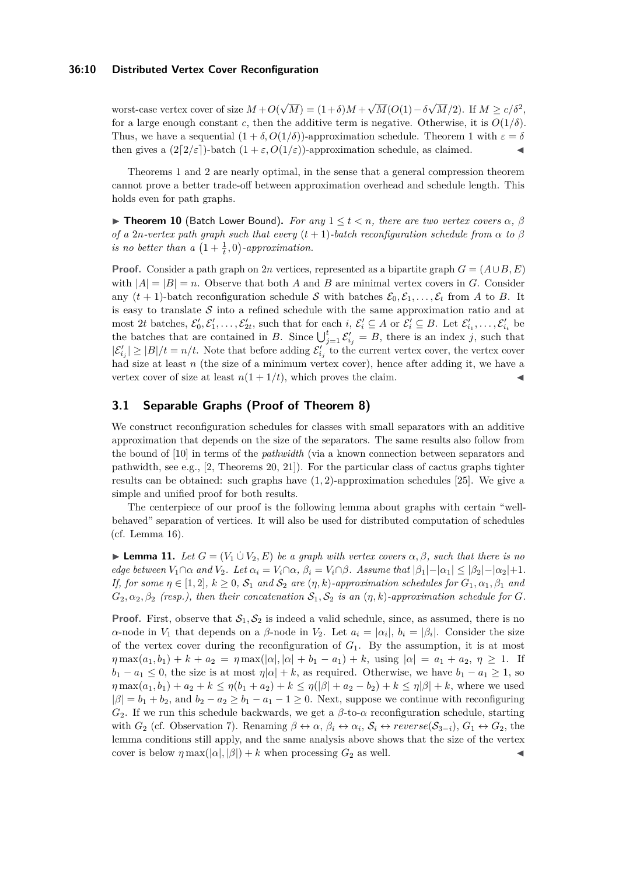### **36:10 Distributed Vertex Cover Reconfiguration**

worst-case vertex cover of size *M* +*O*( √  $M = (1+\delta)M +$ √  $M(O(1)-\delta)$  $\sqrt{M}/2$ ). If  $M \ge c/\delta^2$ , for a large enough constant *c*, then the additive term is negative. Otherwise, it is  $O(1/\delta)$ . Thus, we have a sequential  $(1 + \delta, O(1/\delta))$ -approximation schedule. Theorem [1](#page-2-0) with  $\varepsilon = \delta$ then gives a  $(2\lceil 2/\varepsilon \rceil)$ -batch  $(1 + \varepsilon, O(1/\varepsilon))$ -approximation schedule, as claimed.

Theorems [1](#page-2-0) and [2](#page-2-1) are nearly optimal, in the sense that a general compression theorem cannot prove a better trade-off between approximation overhead and schedule length. This holds even for path graphs.

<span id="page-9-0"></span> $▶$  **Theorem 10** (Batch Lower Bound). For any  $1 \le t < n$ , there are two vertex covers  $\alpha$ ,  $\beta$ *of a* 2*n*-vertex path graph such that every  $(t+1)$ -batch reconfiguration schedule from  $\alpha$  to  $\beta$ *is no better than a*  $\left(1 + \frac{1}{t}, 0\right)$ -approximation.

**Proof.** Consider a path graph on 2*n* vertices, represented as a bipartite graph  $G = (A \cup B, E)$ with  $|A| = |B| = n$ . Observe that both *A* and *B* are minimal vertex covers in *G*. Consider any  $(t + 1)$ -batch reconfiguration schedule S with batches  $\mathcal{E}_0, \mathcal{E}_1, \ldots, \mathcal{E}_t$  from A to B. It is easy to translate  $S$  into a refined schedule with the same approximation ratio and at  $\mathcal{E}_1 \subseteq A$  or  $\mathcal{E}_1' \subseteq B$ . Let  $\mathcal{E}_{i_1}', \ldots, \mathcal{E}_{i_t}'$  be  $\mathcal{E}_2' \subseteq A$  or  $\mathcal{E}_i' \subseteq B$ . Let  $\mathcal{E}_{i_1}', \ldots, \mathcal{E}_{i_t}'$  be the batches that are contained in *B*. Since  $\bigcup_{j=1}^{t} \mathcal{E}'_{i_j} = B$ , there is an index *j*, such that  $|\mathcal{E}'_{i_j}| \geq |B|/t = n/t$ . Note that before adding  $\mathcal{E}'_{i_j}$  to the current vertex cover, the vertex cover had size at least *n* (the size of a minimum vertex cover), hence after adding it, we have a vertex cover of size at least  $n(1 + 1/t)$ , which proves the claim.

# <span id="page-9-1"></span>**3.1 Separable Graphs (Proof of Theorem [8\)](#page-8-0)**

We construct reconfiguration schedules for classes with small separators with an additive approximation that depends on the size of the separators. The same results also follow from the bound of [\[10\]](#page-20-6) in terms of the *pathwidth* (via a known connection between separators and pathwidth, see e.g.,  $[2,$  Theorems 20, 21]). For the particular class of cactus graphs tighter results can be obtained: such graphs have (1*,* 2)-approximation schedules [\[25\]](#page-21-5). We give a simple and unified proof for both results.

The centerpiece of our proof is the following lemma about graphs with certain "wellbehaved" separation of vertices. It will also be used for distributed computation of schedules (cf. Lemma [16\)](#page-13-0).

<span id="page-9-2"></span>**► Lemma 11.** Let  $G = (V_1 \cup V_2, E)$  be a graph with vertex covers  $\alpha, \beta$ , such that there is no edge between  $V_1 \cap \alpha$  and  $V_2$ . Let  $\alpha_i = V_i \cap \alpha$ ,  $\beta_i = V_i \cap \beta$ . Assume that  $|\beta_1| - |\alpha_1| \leq |\beta_2| - |\alpha_2| + 1$ . *If, for some*  $\eta \in [1,2], k \geq 0$ ,  $S_1$  *and*  $S_2$  *are*  $(\eta, k)$ *-approximation schedules for*  $G_1, \alpha_1, \beta_1$  *and*  $G_2, \alpha_2, \beta_2$  (resp.), then their concatenation  $S_1, S_2$  is an  $(\eta, k)$ *-approximation schedule for G*.

**Proof.** First, observe that  $S_1, S_2$  is indeed a valid schedule, since, as assumed, there is no *α*-node in  $V_1$  that depends on a *β*-node in  $V_2$ . Let  $a_i = |\alpha_i|$ ,  $b_i = |\beta_i|$ . Consider the size of the vertex cover during the reconfiguration of  $G_1$ . By the assumption, it is at most  $\eta \max(a_1, b_1) + k + a_2 = \eta \max(|\alpha|, |\alpha| + b_1 - a_1) + k$ , using  $|\alpha| = a_1 + a_2, \eta \ge 1$ . If  $b_1 - a_1 \leq 0$ , the size is at most  $\eta | \alpha | + k$ , as required. Otherwise, we have  $b_1 - a_1 \geq 1$ , so  $\eta \max(a_1, b_1) + a_2 + k \leq \eta(b_1 + a_2) + k \leq \eta(|\beta| + a_2 - b_2) + k \leq \eta|\beta| + k$ , where we used  $|\beta| = b_1 + b_2$ , and  $b_2 - a_2 \ge b_1 - a_1 - 1 \ge 0$ . Next, suppose we continue with reconfiguring *G*2. If we run this schedule backwards, we get a *β*-to-*α* reconfiguration schedule, starting with  $G_2$  (cf. Observation [7\)](#page-6-2). Renaming  $\beta \leftrightarrow \alpha$ ,  $\beta_i \leftrightarrow \alpha_i$ ,  $S_i \leftrightarrow reverse(S_{3-i})$ ,  $G_1 \leftrightarrow G_2$ , the lemma conditions still apply, and the same analysis above shows that the size of the vertex cover is below  $\eta \max(|\alpha|, |\beta|) + k$  when processing  $G_2$  as well.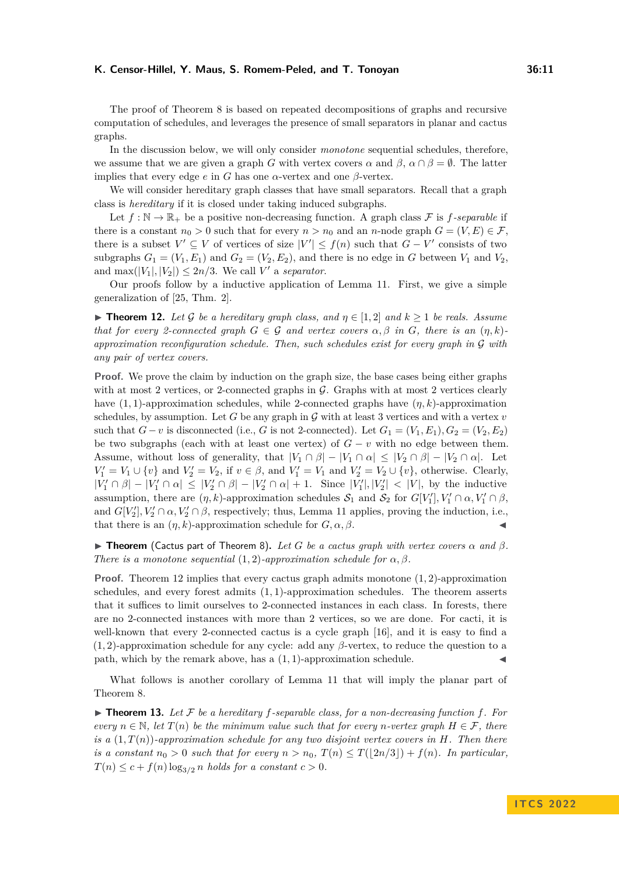The proof of Theorem [8](#page-8-0) is based on repeated decompositions of graphs and recursive computation of schedules, and leverages the presence of small separators in planar and cactus graphs.

In the discussion below, we will only consider *monotone* sequential schedules, therefore, we assume that we are given a graph *G* with vertex covers  $\alpha$  and  $\beta$ ,  $\alpha \cap \beta = \emptyset$ . The latter implies that every edge  $e$  in  $G$  has one  $\alpha$ -vertex and one  $\beta$ -vertex.

We will consider hereditary graph classes that have small separators. Recall that a graph class is *hereditary* if it is closed under taking induced subgraphs.

Let  $f : \mathbb{N} \to \mathbb{R}_+$  be a positive non-decreasing function. A graph class  $\mathcal F$  is  $f$ -separable if there is a constant  $n_0 > 0$  such that for every  $n > n_0$  and an *n*-node graph  $G = (V, E) \in \mathcal{F}$ , there is a subset  $V' \subseteq V$  of vertices of size  $|V'| \leq f(n)$  such that  $G - V'$  consists of two subgraphs  $G_1 = (V_1, E_1)$  and  $G_2 = (V_2, E_2)$ , and there is no edge in *G* between  $V_1$  and  $V_2$ , and  $\max(|V_1|, |V_2|) \leq 2n/3$ . We call *V'* a *separator*.

Our proofs follow by a inductive application of Lemma [11.](#page-9-2) First, we give a simple generalization of [\[25,](#page-21-5) Thm. 2].

<span id="page-10-0"></span>**► Theorem 12.** Let G be a hereditary graph class, and  $\eta \in [1,2]$  and  $k \ge 1$  be reals. Assume *that for every 2-connected graph*  $G \in \mathcal{G}$  *and vertex covers*  $\alpha, \beta$  *in G, there is an*  $(\eta, k)$ *approximation reconfiguration schedule. Then, such schedules exist for every graph in* G *with any pair of vertex covers.*

**Proof.** We prove the claim by induction on the graph size, the base cases being either graphs with at most 2 vertices, or 2-connected graphs in  $\mathcal G$ . Graphs with at most 2 vertices clearly have (1*,* 1)-approximation schedules, while 2-connected graphs have (*η, k*)-approximation schedules, by assumption. Let  $G$  be any graph in  $G$  with at least 3 vertices and with a vertex  $v$ such that  $G - v$  is disconnected (i.e., *G* is not 2-connected). Let  $G_1 = (V_1, E_1), G_2 = (V_2, E_2)$ be two subgraphs (each with at least one vertex) of  $G - v$  with no edge between them. Assume, without loss of generality, that  $|V_1 \cap \beta| - |V_1 \cap \alpha| \leq |V_2 \cap \beta| - |V_2 \cap \alpha|$ . Let  $V'_1 = V_1 \cup \{v\}$  and  $V'_2 = V_2$ , if  $v \in \beta$ , and  $V'_1 = V_1$  and  $V'_2 = V_2 \cup \{v\}$ , otherwise. Clearly,  $|V'_1 \cap \beta| - |V'_1 \cap \alpha| \leq |V'_2 \cap \beta| - |V'_2 \cap \alpha| + 1$ . Since  $|V'_1|, |V'_2| < |V|$ , by the inductive assumption, there are  $(\eta, k)$ -approximation schedules  $S_1$  and  $S_2$  for  $G[V'_1], V'_1 \cap \alpha, V'_1 \cap \beta$ , and  $G[V_2'], V_2' \cap \alpha, V_2' \cap \beta$ , respectively; thus, Lemma [11](#page-9-2) applies, proving the induction, i.e., that there is an  $(\eta, k)$ -approximation schedule for  $G, \alpha, \beta$ .

 $\triangleright$  **Theorem** (Cactus part of Theorem [8\)](#page-8-0). Let G be a cactus graph with vertex covers  $\alpha$  and  $\beta$ . *There is a monotone sequential*  $(1, 2)$ *-approximation schedule for*  $\alpha, \beta$ *.* 

**Proof.** Theorem [12](#page-10-0) implies that every cactus graph admits monotone (1*,* 2)-approximation schedules, and every forest admits (1*,* 1)-approximation schedules. The theorem asserts that it suffices to limit ourselves to 2-connected instances in each class. In forests, there are no 2-connected instances with more than 2 vertices, so we are done. For cacti, it is well-known that every 2-connected cactus is a cycle graph [\[16\]](#page-20-9), and it is easy to find a (1*,* 2)-approximation schedule for any cycle: add any *β*-vertex, to reduce the question to a path, which by the remark above, has a  $(1, 1)$ -approximation schedule.

What follows is another corollary of Lemma [11](#page-9-2) that will imply the planar part of Theorem [8.](#page-8-0)

<span id="page-10-1"></span> $\triangleright$  **Theorem 13.** Let F be a hereditary f-separable class, for a non-decreasing function f. For *every*  $n \in \mathbb{N}$ , let  $T(n)$  be the minimum value such that for every *n*-vertex graph  $H \in \mathcal{F}$ , there *is a* (1*, T*(*n*))*-approximation schedule for any two disjoint vertex covers in H. Then there is a constant*  $n_0 > 0$  *such that for every*  $n > n_0$ ,  $T(n) \leq T(|2n/3|) + f(n)$ *. In particular,*  $T(n) \leq c + f(n) \log_{3/2} n$  *holds for a constant*  $c > 0$ *.*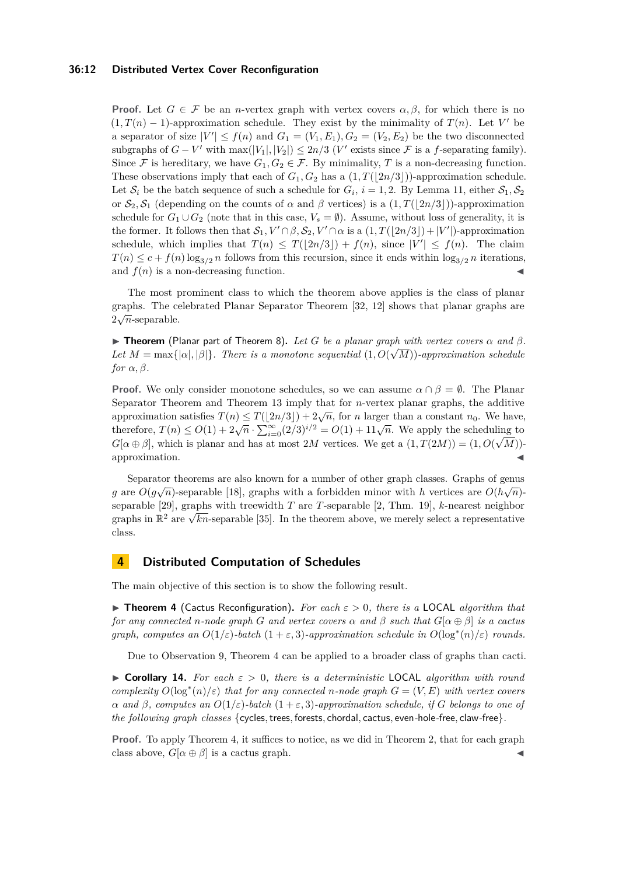### **36:12 Distributed Vertex Cover Reconfiguration**

**Proof.** Let  $G \in \mathcal{F}$  be an *n*-vertex graph with vertex covers  $\alpha, \beta$ , for which there is no  $(1, T(n) - 1)$ -approximation schedule. They exist by the minimality of  $T(n)$ . Let V' be a separator of size  $|V'| \le f(n)$  and  $G_1 = (V_1, E_1), G_2 = (V_2, E_2)$  be the two disconnected subgraphs of  $G - V'$  with  $\max(|V_1|, |V_2|) \leq 2n/3$  (*V*' exists since  $\mathcal F$  is a *f*-separating family). Since F is hereditary, we have  $G_1, G_2 \in \mathcal{F}$ . By minimality, T is a non-decreasing function. These observations imply that each of  $G_1, G_2$  has a  $(1, T(|2n/3|))$ -approximation schedule. Let  $S_i$  be the batch sequence of such a schedule for  $G_i$ ,  $i = 1, 2$ . By Lemma [11,](#page-9-2) either  $S_1, S_2$ or  $S_2, S_1$  (depending on the counts of  $\alpha$  and  $\beta$  vertices) is a  $(1, T(|2n/3|))$ -approximation schedule for  $G_1 \cup G_2$  (note that in this case,  $V_s = \emptyset$ ). Assume, without loss of generality, it is the former. It follows then that  $S_1, V' \cap \beta, S_2, V' \cap \alpha$  is a  $(1, T(\lfloor 2n/3 \rfloor) + |V'|)$ -approximation schedule, which implies that  $T(n) \leq T(\lfloor 2n/3 \rfloor) + f(n)$ , since  $|V'| \leq f(n)$ . The claim  $T(n) \leq c + f(n) \log_{3/2} n$  follows from this recursion, since it ends within  $\log_{3/2} n$  iterations, and  $f(n)$  is a non-decreasing function.

The most prominent class to which the theorem above applies is the class of planar graphs. The celebrated Planar Separator Theorem [\[32,](#page-21-4) [12\]](#page-20-10) shows that planar graphs are  $2\sqrt{n}$ -separable.

**Finds Theorem** (Planar part of Theorem [8\)](#page-8-0). Let *G* be a planar graph with vertex covers  $\alpha$  and  $\beta$ . Let  $M = \max\{|\alpha|, |\beta|\}$ . There is a monotone sequential  $(1, O(\sqrt{M}))$ -approximation schedule *for*  $\alpha$ *,*  $\beta$ *.* 

**Proof.** We only consider monotone schedules, so we can assume  $\alpha \cap \beta = \emptyset$ . The Planar Separator Theorem and Theorem [13](#page-10-1) imply that for *n*-vertex planar graphs, the additive approximation satisfies  $T(n) \leq T(\lfloor 2n/3 \rfloor) + 2\sqrt{n}$ , for *n* larger than a constant  $n_0$ . We have,<br>therefore,  $T(n) \leq O(1) + 2\sqrt{n} \cdot \sum_{i=0}^{\infty} (2/3)^{i/2} = O(1) + 11\sqrt{n}$ . We apply the scheduling to  $G[\alpha \oplus \beta]$ , which is planar and has at most 2*M* vertices. We get a  $(1, T(2M)) = (1, O(\sqrt{M}))$ approximation.

Separator theorems are also known for a number of other graph classes. Graphs of genus *g* are  $O(g\sqrt{n})$ -separable [\[18\]](#page-20-11), graphs with a forbidden minor with *h* vertices are  $O(h\sqrt{n})$ separable [\[29\]](#page-21-16), graphs with treewidth *T* are *T*-separable [\[2,](#page-19-3) Thm. 19], *k*-nearest neighbor separable [29], graphs with treewidth T are T-separable [2, Thin, 19],  $\kappa$ -nearest neighbor<br>graphs in  $\mathbb{R}^2$  are  $\sqrt{kn}$ -separable [\[35\]](#page-21-17). In the theorem above, we merely select a representative class.

# <span id="page-11-0"></span>**4 Distributed Computation of Schedules**

The main objective of this section is to show the following result.

▶ **Theorem 4** (Cactus Reconfiguration)**.** *For each ε >* 0*, there is a* LOCAL *algorithm that for any connected n*-node graph *G* and vertex covers  $\alpha$  and  $\beta$  such that  $G[\alpha \oplus \beta]$  is a cactus *graph, computes an*  $O(1/\varepsilon)$ *-batch*  $(1 + \varepsilon, 3)$ *-approximation schedule in*  $O(\log^*(n)/\varepsilon)$  *rounds.* 

Due to Observation [9,](#page-8-1) Theorem [4](#page-4-0) can be applied to a broader class of graphs than cacti.

<span id="page-11-1"></span>**• Corollary 14.** For each  $\varepsilon > 0$ , there is a deterministic LOCAL algorithm with round *complexity*  $O(\log^*(n)/\varepsilon)$  *that for any connected n*-node graph  $G = (V, E)$  *with vertex covers α and β, computes an O*(1*/ε*)*-batch* (1 + *ε,* 3)*-approximation schedule, if G belongs to one of the following graph classes* {cycles*,*trees*,* forests*,* chordal*,* cactus*,* even*-*hole*-*free*,* claw*-*free}*.*

**Proof.** To apply Theorem [4,](#page-4-0) it suffices to notice, as we did in Theorem [2,](#page-2-1) that for each graph class above,  $G[\alpha \oplus \beta]$  is a cactus graph.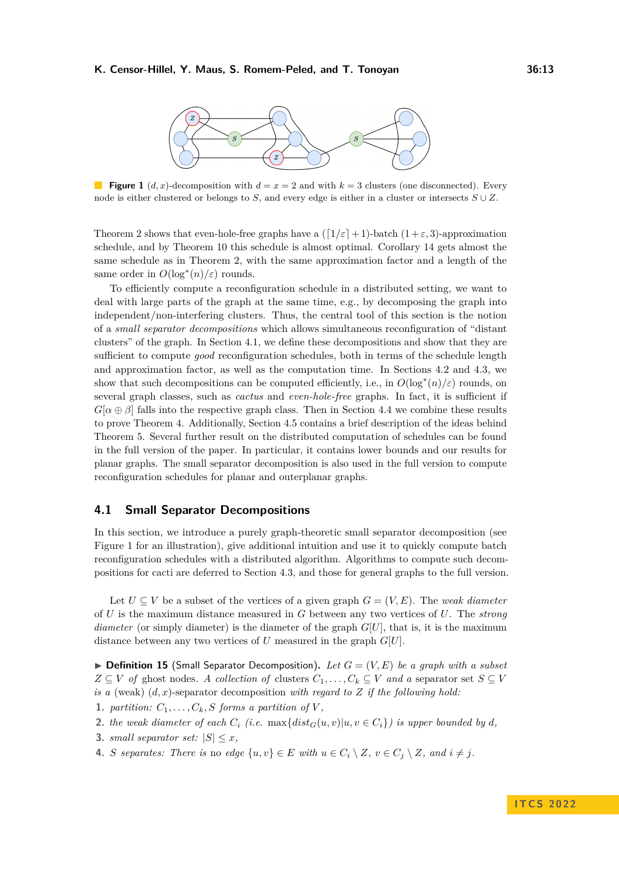<span id="page-12-1"></span>

**Figure 1** (*d, x*)-decomposition with  $d = x = 2$  and with  $k = 3$  clusters (one disconnected). Every node is either clustered or belongs to *S*, and every edge is either in a cluster or intersects *S* ∪ *Z*.

Theorem [2](#page-2-1) shows that even-hole-free graphs have a  $(\lceil 1/\varepsilon \rceil + 1)$ -batch  $(1 + \varepsilon, 3)$ -approximation schedule, and by Theorem [10](#page-9-0) this schedule is almost optimal. Corollary [14](#page-11-1) gets almost the same schedule as in Theorem [2,](#page-2-1) with the same approximation factor and a length of the same order in  $O(\log^*(n)/\varepsilon)$  rounds.

To efficiently compute a reconfiguration schedule in a distributed setting, we want to deal with large parts of the graph at the same time, e.g., by decomposing the graph into independent/non-interfering clusters. Thus, the central tool of this section is the notion of a *small separator decompositions* which allows simultaneous reconfiguration of "distant clusters" of the graph. In Section [4.1,](#page-12-0) we define these decompositions and show that they are sufficient to compute *good* reconfiguration schedules, both in terms of the schedule length and approximation factor, as well as the computation time. In Sections [4.2](#page-14-1) and [4.3,](#page-17-1) we show that such decompositions can be computed efficiently, i.e., in  $O(\log^*(n)/\varepsilon)$  rounds, on several graph classes, such as *cactus* and *even-hole-free* graphs. In fact, it is sufficient if  $G[\alpha \oplus \beta]$  falls into the respective graph class. Then in Section [4.4](#page-19-4) we combine these results to prove Theorem [4.](#page-4-0) Additionally, Section [4.5](#page-19-2) contains a brief description of the ideas behind Theorem [5.](#page-4-1) Several further result on the distributed computation of schedules can be found in the full version of the paper. In particular, it contains lower bounds and our results for planar graphs. The small separator decomposition is also used in the full version to compute reconfiguration schedules for planar and outerplanar graphs.

### <span id="page-12-0"></span>**4.1 Small Separator Decompositions**

In this section, we introduce a purely graph-theoretic small separator decomposition (see Figure [1](#page-12-1) for an illustration), give additional intuition and use it to quickly compute batch reconfiguration schedules with a distributed algorithm. Algorithms to compute such decompositions for cacti are deferred to Section [4.3,](#page-17-1) and those for general graphs to the full version.

Let  $U \subseteq V$  be a subset of the vertices of a given graph  $G = (V, E)$ . The *weak diameter* of *U* is the maximum distance measured in *G* between any two vertices of *U*. The *strong diameter* (or simply diameter) is the diameter of the graph  $G[U]$ , that is, it is the maximum distance between any two vertices of *U* measured in the graph *G*[*U*].

 $\triangleright$  **Definition 15** (Small Separator Decomposition). Let  $G = (V, E)$  be a graph with a subset  $Z \subseteq V$  *of* ghost nodes. A collection of clusters  $C_1, \ldots, C_k \subseteq V$  and a separator set  $S \subseteq V$ *is a* (weak) (*d, x*)-separator decomposition *with regard to Z if the following hold:*

- **1.** *partition:*  $C_1, \ldots, C_k$ *, S forms a partition of*  $V$ *,*
- **2.** *the weak diameter of each*  $C_i$  (*i.e.* max{ $dist_G(u, v) | u, v \in C_i$ } *is upper bounded by d*,
- **3.** *small separator set:*  $|S| \leq x$ ,
- **4.** *S separates:* There is no edge  $\{u, v\} \in E$  with  $u \in C_i \setminus Z$ ,  $v \in C_j \setminus Z$ , and  $i \neq j$ .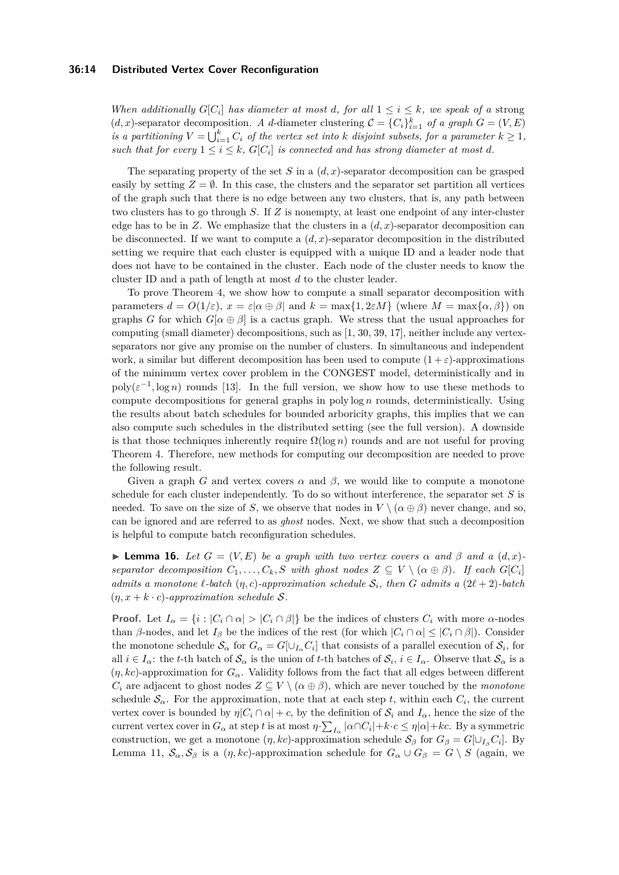### **36:14 Distributed Vertex Cover Reconfiguration**

*When additionally*  $G[C_i]$  *has diameter at most d, for all*  $1 \leq i \leq k$ *, we speak of a* strong (*d, x*)-separator decomposition. A *d*-diameter clustering  $C = \{C_i\}_{i=1}^k$  of a graph  $G = (V, E)$ *is a partitioning*  $V = \bigcup_{i=1}^{k} C_i$  *of the vertex set into k disjoint subsets, for a parameter*  $k \geq 1$ *, such that for every*  $1 \leq i \leq k$ ,  $G[C_i]$  *is connected and has strong diameter at most d.* 

The separating property of the set *S* in a (*d, x*)-separator decomposition can be grasped easily by setting  $Z = \emptyset$ . In this case, the clusters and the separator set partition all vertices of the graph such that there is no edge between any two clusters, that is, any path between two clusters has to go through *S*. If *Z* is nonempty, at least one endpoint of any inter-cluster edge has to be in  $Z$ . We emphasize that the clusters in a  $(d, x)$ -separator decomposition can be disconnected. If we want to compute a  $(d, x)$ -separator decomposition in the distributed setting we require that each cluster is equipped with a unique ID and a leader node that does not have to be contained in the cluster. Each node of the cluster needs to know the cluster ID and a path of length at most *d* to the cluster leader.

To prove Theorem [4,](#page-4-0) we show how to compute a small separator decomposition with parameters  $d = O(1/\varepsilon)$ ,  $x = \varepsilon |a \oplus \beta|$  and  $k = \max\{1, 2\varepsilon M\}$  (where  $M = \max\{\alpha, \beta\}$ ) on graphs *G* for which  $G[\alpha \oplus \beta]$  is a cactus graph. We stress that the usual approaches for computing (small diameter) decompositions, such as [\[1,](#page-19-1) [30,](#page-21-7) [39,](#page-22-0) [17\]](#page-20-1), neither include any vertexseparators nor give any promise on the number of clusters. In simultaneous and independent work, a similar but different decomposition has been used to compute  $(1 + \varepsilon)$ -approximations of the minimum vertex cover problem in the CONGEST model, deterministically and in  $poly(\varepsilon^{-1}, \log n)$  rounds [\[13\]](#page-20-12). In the full version, we show how to use these methods to compute decompositions for general graphs in poly log *n* rounds, deterministically. Using the results about batch schedules for bounded arboricity graphs, this implies that we can also compute such schedules in the distributed setting (see the full version). A downside is that those techniques inherently require  $\Omega(\log n)$  rounds and are not useful for proving Theorem [4.](#page-4-0) Therefore, new methods for computing our decomposition are needed to prove the following result.

Given a graph *G* and vertex covers  $\alpha$  and  $\beta$ , we would like to compute a monotone schedule for each cluster independently. To do so without interference, the separator set *S* is needed. To save on the size of *S*, we observe that nodes in  $V \setminus (\alpha \oplus \beta)$  never change, and so, can be ignored and are referred to as *ghost* nodes. Next, we show that such a decomposition is helpful to compute batch reconfiguration schedules.

<span id="page-13-0"></span>**Example 16.** *Let*  $G = (V, E)$  *be a graph with two vertex covers*  $\alpha$  *and*  $\beta$  *and*  $a$   $(d, x)$ *separator decomposition*  $C_1, \ldots, C_k, S$  *with ghost nodes*  $Z \subseteq V \setminus (\alpha \oplus \beta)$ *. If each*  $G[C_i]$ *admits a monotone*  $\ell$ *-batch*  $(\eta, c)$ *-approximation schedule*  $S_i$ *, then G admits a*  $(2\ell + 2)$ *-batch*  $(\eta, x + k \cdot c)$ -approximation schedule S.

**Proof.** Let  $I_{\alpha} = \{i : |C_i \cap \alpha| > |C_i \cap \beta|\}$  be the indices of clusters  $C_i$  with more  $\alpha$ -nodes than *β*-nodes, and let  $I_\beta$  be the indices of the rest (for which  $|C_i \cap \alpha| \leq |C_i \cap \beta|$ ). Consider the monotone schedule  $S_\alpha$  for  $G_\alpha = G[\cup_{I_\alpha} C_i]$  that consists of a parallel execution of  $S_i$ , for all  $i \in I_\alpha$ : the *t*-th batch of  $S_\alpha$  is the union of *t*-th batches of  $S_i$ ,  $i \in I_\alpha$ . Observe that  $S_\alpha$  is a  $(\eta, kc)$ -approximation for  $G_\alpha$ . Validity follows from the fact that all edges between different *C*<sup>*i*</sup> are adjacent to ghost nodes  $Z \subseteq V \setminus (\alpha \oplus \beta)$ , which are never touched by the *monotone* schedule  $\mathcal{S}_{\alpha}$ . For the approximation, note that at each step *t*, within each  $C_i$ , the current vertex cover is bounded by  $\eta |C_i \cap \alpha| + c$ , by the definition of  $S_i$  and  $I_\alpha$ , hence the size of the current vertex cover in  $G_{\alpha}$  at step *t* is at most  $\eta \cdot \sum_{I_{\alpha}} |\alpha \cap C_i| + k \cdot c \le \eta |\alpha| + kc$ . By a symmetric construction, we get a monotone  $(\eta, kc)$ -approximation schedule  $S_\beta$  for  $G_\beta = G[\cup_{I_\beta} C_i]$ . By Lemma [11,](#page-9-2)  $S_\alpha$ ,  $S_\beta$  is a  $(\eta, kc)$ -approximation schedule for  $G_\alpha \cup G_\beta = G \setminus S$  (again, we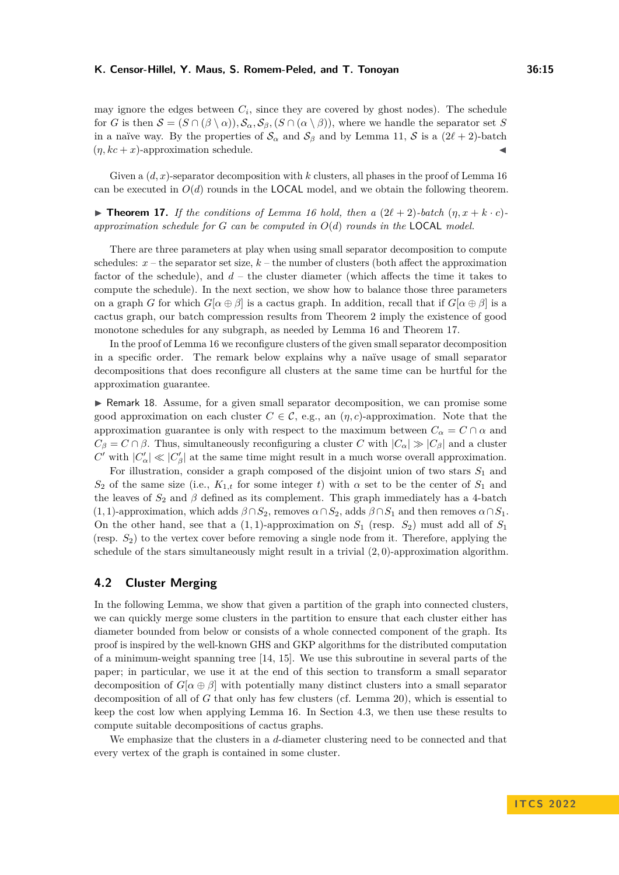may ignore the edges between  $C_i$ , since they are covered by ghost nodes). The schedule for *G* is then  $\mathcal{S} = (S \cap (\beta \setminus \alpha))$ ,  $\mathcal{S}_{\alpha}$ ,  $\mathcal{S}_{\beta}$ ,  $(S \cap (\alpha \setminus \beta))$ , where we handle the separator set *S* in a naïve way. By the properties of  $\mathcal{S}_{\alpha}$  and  $\mathcal{S}_{\beta}$  and by Lemma [11,](#page-9-2) S is a (2 $\ell + 2$ )-batch  $(\eta, kc + x)$ -approximation schedule.

Given a  $(d, x)$ -separator decomposition with  $k$  clusters, all phases in the proof of Lemma [16](#page-13-0) can be executed in  $O(d)$  rounds in the **LOCAL** model, and we obtain the following theorem.

<span id="page-14-0"></span> $\blacktriangleright$  **Theorem 17.** *If the conditions of Lemma [16](#page-13-0) hold, then a*  $(2\ell + 2)$ *-batch*  $(n, x + k \cdot c)$ *approximation schedule for G can be computed in O*(*d*) *rounds in the* LOCAL *model.*

There are three parameters at play when using small separator decomposition to compute schedules:  $x$  – the separator set size,  $k$  – the number of clusters (both affect the approximation factor of the schedule), and *d* – the cluster diameter (which affects the time it takes to compute the schedule). In the next section, we show how to balance those three parameters on a graph *G* for which  $G[\alpha \oplus \beta]$  is a cactus graph. In addition, recall that if  $G[\alpha \oplus \beta]$  is a cactus graph, our batch compression results from Theorem [2](#page-2-1) imply the existence of good monotone schedules for any subgraph, as needed by Lemma [16](#page-13-0) and Theorem [17.](#page-14-0)

In the proof of Lemma [16](#page-13-0) we reconfigure clusters of the given small separator decomposition in a specific order. The remark below explains why a naïve usage of small separator decompositions that does reconfigure all clusters at the same time can be hurtful for the approximation guarantee.

▶ Remark 18. Assume, for a given small separator decomposition, we can promise some good approximation on each cluster  $C \in \mathcal{C}$ , e.g., an  $(\eta, c)$ -approximation. Note that the approximation guarantee is only with respect to the maximum between  $C_{\alpha} = C \cap \alpha$  and  $C_{\beta} = C \cap \beta$ . Thus, simultaneously reconfiguring a cluster *C* with  $|C_{\alpha}| \gg |C_{\beta}|$  and a cluster  $C'$  with  $|C'_\alpha| \ll |C'_\beta|$  at the same time might result in a much worse overall approximation.

For illustration, consider a graph composed of the disjoint union of two stars *S*<sup>1</sup> and  $S_2$  of the same size (i.e.,  $K_{1,t}$  for some integer *t*) with  $\alpha$  set to be the center of  $S_1$  and the leaves of  $S_2$  and  $\beta$  defined as its complement. This graph immediately has a 4-batch  $(1,1)$ -approximation, which adds  $\beta \cap S_2$ , removes  $\alpha \cap S_2$ , adds  $\beta \cap S_1$  and then removes  $\alpha \cap S_1$ . On the other hand, see that a  $(1,1)$ -approximation on  $S_1$  (resp.  $S_2$ ) must add all of  $S_1$ (resp. *S*2) to the vertex cover before removing a single node from it. Therefore, applying the schedule of the stars simultaneously might result in a trivial (2*,* 0)-approximation algorithm.

# <span id="page-14-1"></span>**4.2 Cluster Merging**

In the following Lemma, we show that given a partition of the graph into connected clusters, we can quickly merge some clusters in the partition to ensure that each cluster either has diameter bounded from below or consists of a whole connected component of the graph. Its proof is inspired by the well-known GHS and GKP algorithms for the distributed computation of a minimum-weight spanning tree [\[14,](#page-20-13) [15\]](#page-20-14). We use this subroutine in several parts of the paper; in particular, we use it at the end of this section to transform a small separator decomposition of  $G[\alpha \oplus \beta]$  with potentially many distinct clusters into a small separator decomposition of all of *G* that only has few clusters (cf. Lemma [20\)](#page-16-0), which is essential to keep the cost low when applying Lemma [16.](#page-13-0) In Section [4.3,](#page-17-1) we then use these results to compute suitable decompositions of cactus graphs.

<span id="page-14-2"></span>We emphasize that the clusters in a *d*-diameter clustering need to be connected and that every vertex of the graph is contained in some cluster.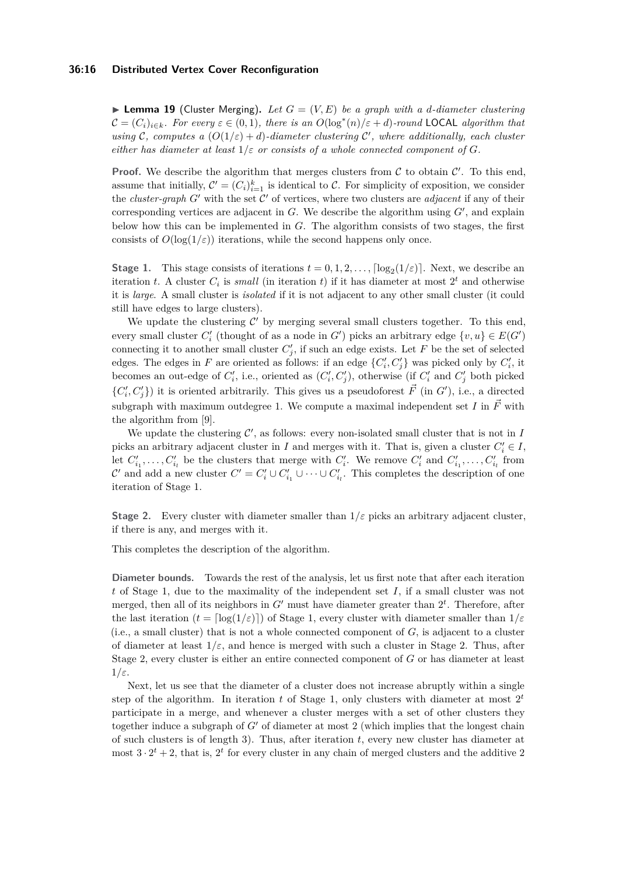### **36:16 Distributed Vertex Cover Reconfiguration**

 $\blacktriangleright$  **Lemma 19** (Cluster Merging). Let  $G = (V, E)$  be a graph with a *d*-diameter clustering  $\mathcal{C} = (C_i)_{i \in k}$ *. For every*  $\varepsilon \in (0,1)$ *, there is an*  $O(\log^*(n)/\varepsilon + d)$ *-round* LOCAL *algorithm that using* C, computes a  $(O(1/\varepsilon) + d)$ -diameter clustering C', where additionally, each cluster *either has diameter at least*  $1/\varepsilon$  *or consists of a whole connected component of G*.

**Proof.** We describe the algorithm that merges clusters from  $C$  to obtain  $C'$ . To this end, assume that initially,  $\mathcal{C}' = (C_i)_{i=1}^k$  is identical to  $\mathcal{C}$ . For simplicity of exposition, we consider the *cluster-graph*  $G'$  with the set  $C'$  of vertices, where two clusters are *adjacent* if any of their corresponding vertices are adjacent in  $G$ . We describe the algorithm using  $G'$ , and explain below how this can be implemented in *G*. The algorithm consists of two stages, the first consists of  $O(\log(1/\varepsilon))$  iterations, while the second happens only once.

**Stage 1.** This stage consists of iterations  $t = 0, 1, 2, \ldots$ ,  $\lceil \log_2(1/\varepsilon) \rceil$ . Next, we describe an iteration *t*. A cluster  $C_i$  is *small* (in iteration *t*) if it has diameter at most  $2^t$  and otherwise it is *large*. A small cluster is *isolated* if it is not adjacent to any other small cluster (it could still have edges to large clusters).

We update the clustering  $C'$  by merging several small clusters together. To this end, every small cluster  $C'_{i}$  (thought of as a node in  $G'$ ) picks an arbitrary edge  $\{v, u\} \in E(G')$ connecting it to another small cluster  $C'_{j}$ , if such an edge exists. Let  $F$  be the set of selected edges. The edges in *F* are oriented as follows: if an edge  $\{C_i', C_j'\}$  was picked only by  $C_i'$ , it becomes an out-edge of  $C_i'$ , i.e., oriented as  $(C_i', C_j')$ , otherwise (if  $C_i'$  and  $C_j'$  both picked  ${C_i', C_j'}$  it is oriented arbitrarily. This gives us a pseudoforest  $\vec{F}$  (in *G'*), i.e., a directed subgraph with maximum outdegree 1. We compute a maximal independent set  $I$  in  $\vec{F}$  with the algorithm from [\[9\]](#page-20-15).

We update the clustering  $\mathcal{C}'$ , as follows: every non-isolated small cluster that is not in  $I$ picks an arbitrary adjacent cluster in *I* and merges with it. That is, given a cluster  $C_i' \in I$ , let  $C'_{i_1}, \ldots, C'_{i_l}$  be the clusters that merge with  $C'_{i}$ . We remove  $C'_{i}$  and  $C'_{i_1}, \ldots, C'_{i_l}$  from  $\mathcal{C}'$  and add a new cluster  $C' = C'_i \cup C'_{i_1} \cup \cdots \cup C'_{i_l}$ . This completes the description of one iteration of Stage 1.

**Stage 2.** Every cluster with diameter smaller than 1*/ε* picks an arbitrary adjacent cluster, if there is any, and merges with it.

This completes the description of the algorithm.

**Diameter bounds.** Towards the rest of the analysis, let us first note that after each iteration *t* of Stage 1, due to the maximality of the independent set *I*, if a small cluster was not merged, then all of its neighbors in  $G'$  must have diameter greater than  $2<sup>t</sup>$ . Therefore, after the last iteration  $(t = \lceil \log(1/\varepsilon) \rceil)$  of Stage 1, every cluster with diameter smaller than  $1/\varepsilon$ (i.e., a small cluster) that is not a whole connected component of *G*, is adjacent to a cluster of diameter at least  $1/\varepsilon$ , and hence is merged with such a cluster in Stage 2. Thus, after Stage 2, every cluster is either an entire connected component of *G* or has diameter at least 1*/ε*.

Next, let us see that the diameter of a cluster does not increase abruptly within a single step of the algorithm. In iteration  $t$  of Stage 1, only clusters with diameter at most  $2^t$ participate in a merge, and whenever a cluster merges with a set of other clusters they together induce a subgraph of *G*′ of diameter at most 2 (which implies that the longest chain of such clusters is of length 3). Thus, after iteration *t*, every new cluster has diameter at most  $3 \cdot 2^t + 2$ , that is,  $2^t$  for every cluster in any chain of merged clusters and the additive 2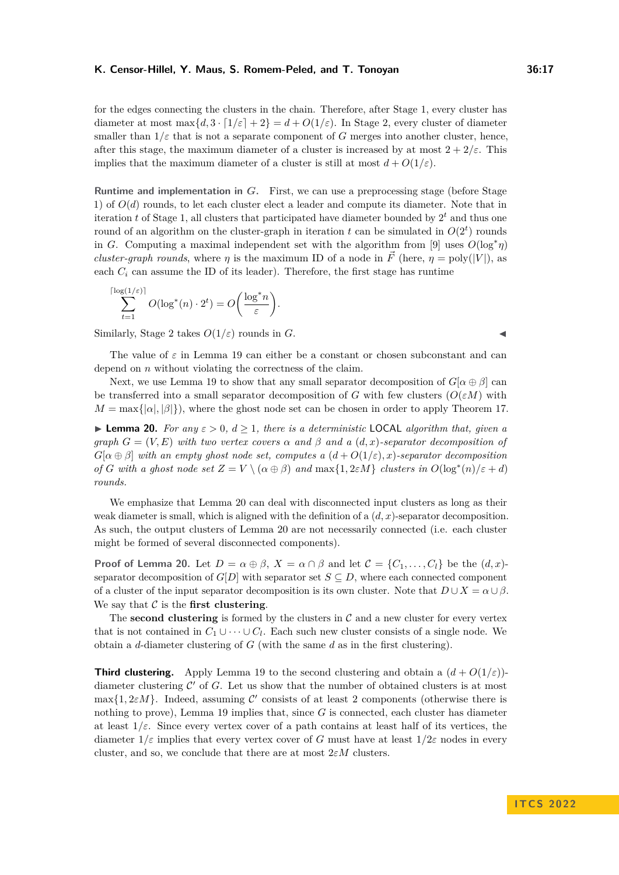for the edges connecting the clusters in the chain. Therefore, after Stage 1, every cluster has diameter at most  $\max\{d, 3 \cdot [1/\varepsilon] + 2\} = d + O(1/\varepsilon)$ . In Stage 2, every cluster of diameter smaller than  $1/\varepsilon$  that is not a separate component of *G* merges into another cluster, hence, after this stage, the maximum diameter of a cluster is increased by at most  $2 + 2/\varepsilon$ . This implies that the maximum diameter of a cluster is still at most  $d + O(1/\varepsilon)$ .

**Runtime and implementation in** *G***.** First, we can use a preprocessing stage (before Stage 1) of  $O(d)$  rounds, to let each cluster elect a leader and compute its diameter. Note that in iteration *t* of Stage 1, all clusters that participated have diameter bounded by 2 *<sup>t</sup>* and thus one round of an algorithm on the cluster-graph in iteration  $t$  can be simulated in  $O(2^t)$  rounds in *G*. Computing a maximal independent set with the algorithm from [\[9\]](#page-20-15) uses  $O(\log^* \eta)$ *cluster-graph rounds*, where *η* is the maximum ID of a node in  $\vec{F}$  (here,  $\eta = \text{poly}(|V|)$ , as each  $C_i$  can assume the ID of its leader). Therefore, the first stage has runtime

$$
\sum_{t=1}^{\lceil \log(1/\varepsilon) \rceil} O(\log^*(n) \cdot 2^t) = O\left(\frac{\log^* n}{\varepsilon}\right).
$$

Similarly, Stage 2 takes  $O(1/\varepsilon)$  rounds in *G*.

The value of *ε* in Lemma [19](#page-14-2) can either be a constant or chosen subconstant and can depend on *n* without violating the correctness of the claim.

Next, we use Lemma [19](#page-14-2) to show that any small separator decomposition of  $G[\alpha \oplus \beta]$  can be transferred into a small separator decomposition of *G* with few clusters  $(O(\varepsilon M)$  with  $M = \max\{|\alpha|, |\beta|\}$ , where the ghost node set can be chosen in order to apply Theorem [17.](#page-14-0)

<span id="page-16-0"></span>▶ **Lemma 20.** *For any ε >* 0*, d* ≥ 1*, there is a deterministic* LOCAL *algorithm that, given a graph*  $G = (V, E)$  *with two vertex covers*  $\alpha$  *and*  $\beta$  *and*  $\alpha$  (*d, x*)*-separator decomposition of*  $G[\alpha \oplus \beta]$  *with an empty ghost node set, computes a*  $(d+O(1/\varepsilon), x)$ *-separator decomposition of G* with a ghost node set  $Z = V \setminus (\alpha \oplus \beta)$  and  $\max\{1, 2\varepsilon M\}$  *clusters in*  $O(\log^*(n)/\varepsilon + d)$ *rounds.*

We emphasize that Lemma [20](#page-16-0) can deal with disconnected input clusters as long as their weak diameter is small, which is aligned with the definition of a (*d, x*)-separator decomposition. As such, the output clusters of Lemma [20](#page-16-0) are not necessarily connected (i.e. each cluster might be formed of several disconnected components).

**Proof of Lemma [20.](#page-16-0)** Let  $D = \alpha \oplus \beta$ ,  $X = \alpha \cap \beta$  and let  $C = \{C_1, \ldots, C_l\}$  be the  $(d, x)$ separator decomposition of  $G[D]$  with separator set  $S \subseteq D$ , where each connected component of a cluster of the input separator decomposition is its own cluster. Note that  $D \cup X = \alpha \cup \beta$ . We say that  $\mathcal C$  is the **first clustering**.

The **second clustering** is formed by the clusters in  $\mathcal{C}$  and a new cluster for every vertex that is not contained in  $C_1 \cup \cdots \cup C_l$ . Each such new cluster consists of a single node. We obtain a *d*-diameter clustering of *G* (with the same *d* as in the first clustering).

**Third clustering.** Apply Lemma [19](#page-14-2) to the second clustering and obtain a  $(d + O(1/\varepsilon))$ diameter clustering  $\mathcal{C}'$  of  $G$ . Let us show that the number of obtained clusters is at most max $\{1, 2\varepsilon M\}$ . Indeed, assuming C' consists of at least 2 components (otherwise there is nothing to prove), Lemma [19](#page-14-2) implies that, since *G* is connected, each cluster has diameter at least  $1/\varepsilon$ . Since every vertex cover of a path contains at least half of its vertices, the diameter  $1/\varepsilon$  implies that every vertex cover of *G* must have at least  $1/2\varepsilon$  nodes in every cluster, and so, we conclude that there are at most 2*εM* clusters.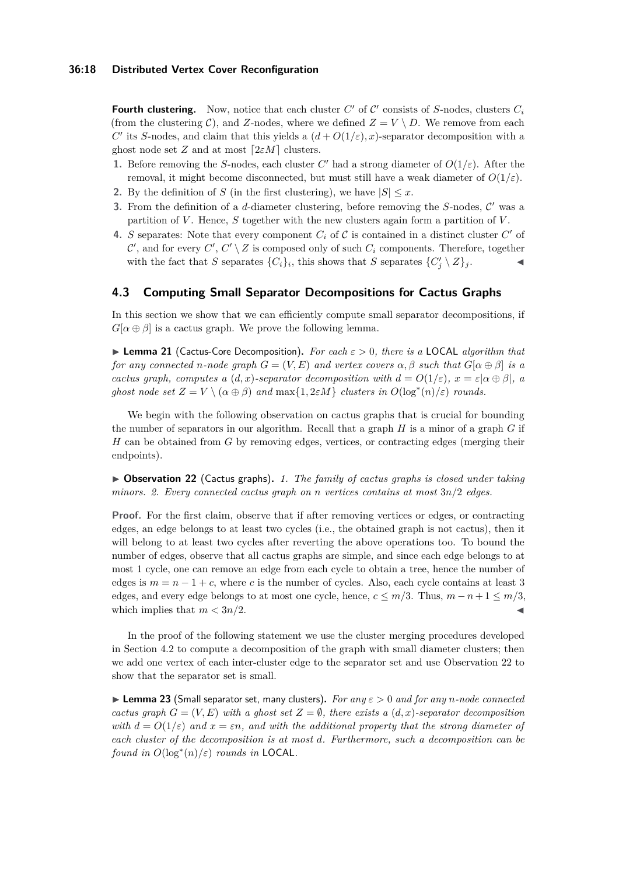**Fourth clustering.** Now, notice that each cluster  $C'$  of  $C'$  consists of *S*-nodes, clusters  $C_i$ (from the clustering C), and Z-nodes, where we defined  $Z = V \setminus D$ . We remove from each *C*<sup> $\prime$ </sup> its *S*-nodes, and claim that this yields a  $(d + O(1/\varepsilon), x)$ -separator decomposition with a ghost node set *Z* and at most  $[2\varepsilon M]$  clusters.

- **1.** Before removing the *S*-nodes, each cluster  $C'$  had a strong diameter of  $O(1/\varepsilon)$ . After the removal, it might become disconnected, but must still have a weak diameter of *O*(1*/ε*).
- **2.** By the definition of *S* (in the first clustering), we have  $|S| \leq x$ .
- **3.** From the definition of a  $d$ -diameter clustering, before removing the  $S$ -nodes,  $C'$  was a partition of *V* . Hence, *S* together with the new clusters again form a partition of *V* .
- **4.** *S* separates: Note that every component  $C_i$  of  $C$  is contained in a distinct cluster  $C'$  of  $\mathcal{C}'$ , and for every  $C', C' \setminus Z$  is composed only of such  $C_i$  components. Therefore, together with the fact that *S* separates  $\{C_i\}_i$ , this shows that *S* separates  $\{C'_j \setminus Z\}_j$ .

# <span id="page-17-1"></span>**4.3 Computing Small Separator Decompositions for Cactus Graphs**

In this section we show that we can efficiently compute small separator decompositions, if  $G[\alpha \oplus \beta]$  is a cactus graph. We prove the following lemma.

<span id="page-17-0"></span>▶ **Lemma 21** (Cactus-Core Decomposition)**.** *For each ε >* 0*, there is a* LOCAL *algorithm that for any connected n*-node graph  $G = (V, E)$  *and vertex covers*  $\alpha, \beta$  *such that*  $G[\alpha \oplus \beta]$  *is a cactus graph, computes a*  $(d, x)$ *-separator decomposition with*  $d = O(1/\varepsilon)$ *,*  $x = \varepsilon |\alpha \oplus \beta|$ *, a ghost node set*  $Z = V \setminus (\alpha \oplus \beta)$  *and*  $\max\{1, 2\varepsilon M\}$  *clusters in*  $O(\log^*(n)/\varepsilon)$  *rounds.* 

We begin with the following observation on cactus graphs that is crucial for bounding the number of separators in our algorithm. Recall that a graph *H* is a minor of a graph *G* if *H* can be obtained from *G* by removing edges, vertices, or contracting edges (merging their endpoints).

<span id="page-17-2"></span>▶ **Observation 22** (Cactus graphs)**.** *1. The family of cactus graphs is closed under taking minors. 2. Every connected cactus graph on n vertices contains at most* 3*n/*2 *edges.*

**Proof.** For the first claim, observe that if after removing vertices or edges, or contracting edges, an edge belongs to at least two cycles (i.e., the obtained graph is not cactus), then it will belong to at least two cycles after reverting the above operations too. To bound the number of edges, observe that all cactus graphs are simple, and since each edge belongs to at most 1 cycle, one can remove an edge from each cycle to obtain a tree, hence the number of edges is  $m = n - 1 + c$ , where *c* is the number of cycles. Also, each cycle contains at least 3 edges, and every edge belongs to at most one cycle, hence,  $c \leq m/3$ . Thus,  $m - n + 1 \leq m/3$ , which implies that  $m < 3n/2$ .

In the proof of the following statement we use the cluster merging procedures developed in Section [4.2](#page-14-1) to compute a decomposition of the graph with small diameter clusters; then we add one vertex of each inter-cluster edge to the separator set and use Observation [22](#page-17-2) to show that the separator set is small.

<span id="page-17-3"></span>▶ **Lemma 23** (Small separator set, many clusters)**.** *For any ε >* 0 *and for any n-node connected cactus graph*  $G = (V, E)$  *with a ghost set*  $Z = \emptyset$ *, there exists a*  $(d, x)$ *-separator decomposition with*  $d = O(1/\varepsilon)$  *and*  $x = \varepsilon n$ *, and with the additional property that the strong diameter of each cluster of the decomposition is at most d. Furthermore, such a decomposition can be found in*  $O(\log^*(n)/\varepsilon)$  *rounds in* **LOCAL**.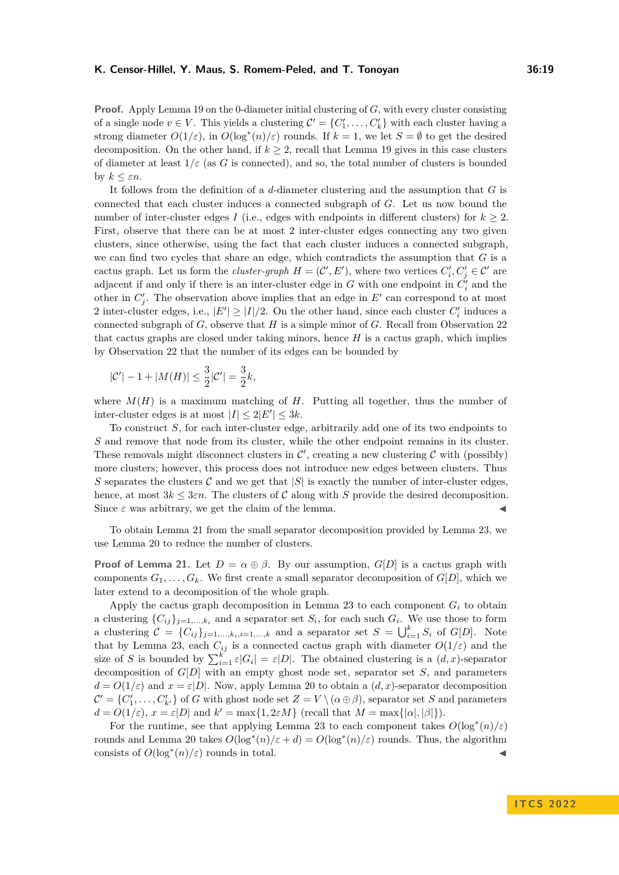**Proof.** Apply Lemma [19](#page-14-2) on the 0-diameter initial clustering of *G*, with every cluster consisting of a single node  $v \in V$ . This yields a clustering  $\mathcal{C}' = \{C'_1, \ldots, C'_k\}$  with each cluster having a strong diameter  $O(1/\varepsilon)$ , in  $O(\log^*(n)/\varepsilon)$  rounds. If  $k = 1$ , we let  $S = \emptyset$  to get the desired decomposition. On the other hand, if  $k \geq 2$ , recall that Lemma [19](#page-14-2) gives in this case clusters of diameter at least 1*/ε* (as *G* is connected), and so, the total number of clusters is bounded by  $k \leq \varepsilon n$ .

It follows from the definition of a *d*-diameter clustering and the assumption that *G* is connected that each cluster induces a connected subgraph of *G*. Let us now bound the number of inter-cluster edges *I* (i.e., edges with endpoints in different clusters) for  $k \geq 2$ . First, observe that there can be at most 2 inter-cluster edges connecting any two given clusters, since otherwise, using the fact that each cluster induces a connected subgraph, we can find two cycles that share an edge, which contradicts the assumption that *G* is a cactus graph. Let us form the *cluster-graph*  $H = (C', E')$ , where two vertices  $C'_i, C'_j \in C'$  are adjacent if and only if there is an inter-cluster edge in  $G$  with one endpoint in  $C_i'$  and the other in  $C'_{j}$ . The observation above implies that an edge in  $E'$  can correspond to at most 2 inter-cluster edges, i.e.,  $|E'| \ge |I|/2$ . On the other hand, since each cluster  $C_i'$  induces a connected subgraph of *G*, observe that *H* is a simple minor of *G*. Recall from Observation [22](#page-17-2) that cactus graphs are closed under taking minors, hence  $H$  is a cactus graph, which implies by Observation [22](#page-17-2) that the number of its edges can be bounded by

$$
|\mathcal{C}'| - 1 + |M(H)| \le \frac{3}{2} |\mathcal{C}'| = \frac{3}{2}k,
$$

where  $M(H)$  is a maximum matching of *H*. Putting all together, thus the number of inter-cluster edges is at most  $|I| \leq 2|E'| \leq 3k$ .

To construct *S*, for each inter-cluster edge, arbitrarily add one of its two endpoints to *S* and remove that node from its cluster, while the other endpoint remains in its cluster. These removals might disconnect clusters in  $\mathcal{C}'$ , creating a new clustering  $\mathcal{C}$  with (possibly) more clusters; however, this process does not introduce new edges between clusters. Thus *S* separates the clusters C and we get that  $|S|$  is exactly the number of inter-cluster edges, hence, at most  $3k \leq 3\varepsilon n$ . The clusters of C along with S provide the desired decomposition. Since  $\varepsilon$  was arbitrary, we get the claim of the lemma.

To obtain Lemma [21](#page-17-0) from the small separator decomposition provided by Lemma [23,](#page-17-3) we use Lemma [20](#page-16-0) to reduce the number of clusters.

**Proof of Lemma [21.](#page-17-0)** Let  $D = \alpha \oplus \beta$ . By our assumption,  $G[D]$  is a cactus graph with components  $G_1, \ldots, G_k$ . We first create a small separator decomposition of  $G[D]$ , which we later extend to a decomposition of the whole graph.

Apply the cactus graph decomposition in Lemma [23](#page-17-3) to each component  $G_i$  to obtain a clustering  $\{C_{ij}\}_{j=1,\ldots,k_i}$  and a separator set  $S_i$ , for each such  $G_i$ . We use those to form a clustering  $C = \{C_{ij}\}_{j=1,\dots,k_i,i=1,\dots,k}$  and a separator set  $S = \bigcup_{i=1}^{k} S_i$  of  $G[D]$ . Note that by Lemma [23,](#page-17-3) each  $C_{ij}$  is a connected cactus graph with diameter  $O(1/\varepsilon)$  and the size of *S* is bounded by  $\sum_{i=1}^{k} \varepsilon |G_i| = \varepsilon |D|$ . The obtained clustering is a  $(d, x)$ -separator decomposition of *G*[*D*] with an empty ghost node set, separator set *S*, and parameters  $d = O(1/\varepsilon)$  and  $x = \varepsilon |D|$ . Now, apply Lemma [20](#page-16-0) to obtain a  $(d, x)$ -separator decomposition  $\mathcal{C}' = \{C'_1, \ldots, C'_{k'}\}$  of *G* with ghost node set  $Z = V \setminus (\alpha \oplus \beta)$ , separator set *S* and parameters  $d = O(1/\varepsilon), x = \varepsilon|D|$  and  $k' = \max\{1, 2\varepsilon M\}$  (recall that  $M = \max\{|\alpha|, |\beta|\}.$ ).

For the runtime, see that applying Lemma [23](#page-17-3) to each component takes  $O(\log^*(n)/\varepsilon)$ rounds and Lemma [20](#page-16-0) takes  $O(\log^*(n)/\varepsilon + d) = O(\log^*(n)/\varepsilon)$  rounds. Thus, the algorithm consists of  $O(\log^*(n)/\varepsilon)$  rounds in total.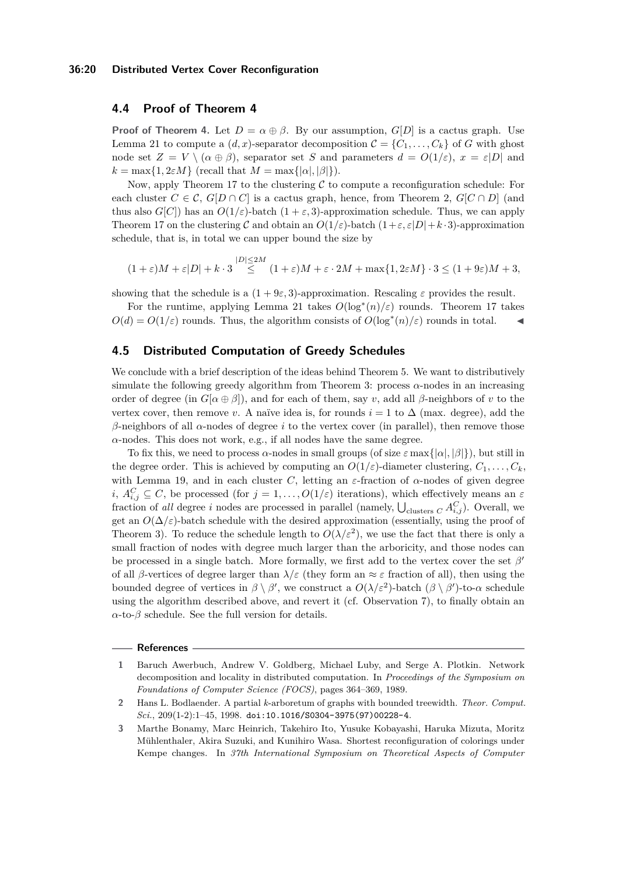### **36:20 Distributed Vertex Cover Reconfiguration**

### <span id="page-19-4"></span>**4.4 Proof of Theorem [4](#page-4-0)**

**Proof of Theorem [4.](#page-4-0)** Let  $D = \alpha \oplus \beta$ . By our assumption,  $G[D]$  is a cactus graph. Use Lemma [21](#page-17-0) to compute a  $(d, x)$ -separator decomposition  $\mathcal{C} = \{C_1, \ldots, C_k\}$  of *G* with ghost node set  $Z = V \setminus (\alpha \oplus \beta)$ , separator set *S* and parameters  $d = O(1/\varepsilon)$ ,  $x = \varepsilon|D|$  and  $k = \max\{1, 2\varepsilon M\}$  (recall that  $M = \max\{|\alpha|, |\beta|\}.$ ).

Now, apply Theorem [17](#page-14-0) to the clustering  $C$  to compute a reconfiguration schedule: For each cluster  $C \in \mathcal{C}$ ,  $G[D \cap C]$  is a cactus graph, hence, from Theorem [2,](#page-2-1)  $G[C \cap D]$  (and thus also  $G[C])$  has an  $O(1/\varepsilon)$ -batch  $(1 + \varepsilon, 3)$ -approximation schedule. Thus, we can apply Theorem [17](#page-14-0) on the clustering C and obtain an  $O(1/\varepsilon)$ -batch  $(1+\varepsilon,\varepsilon|D|+k\cdot 3)$ -approximation schedule, that is, in total we can upper bound the size by

$$
(1+\varepsilon)M + \varepsilon|D| + k \cdot 3 \stackrel{|D| \le 2M}{\le} (1+\varepsilon)M + \varepsilon \cdot 2M + \max\{1, 2\varepsilon M\} \cdot 3 \le (1+9\varepsilon)M + 3,
$$

showing that the schedule is a  $(1 + 9\varepsilon, 3)$ -approximation. Rescaling  $\varepsilon$  provides the result.

For the runtime, applying Lemma [21](#page-17-0) takes  $O(\log^*(n)/\varepsilon)$  rounds. Theorem [17](#page-14-0) takes  $O(d) = O(1/\varepsilon)$  rounds. Thus, the algorithm consists of  $O(\log^*(n)/\varepsilon)$  rounds in total.

### <span id="page-19-2"></span>**4.5 Distributed Computation of Greedy Schedules**

We conclude with a brief description of the ideas behind Theorem [5.](#page-4-1) We want to distributively simulate the following greedy algorithm from Theorem [3:](#page-3-1) process *α*-nodes in an increasing order of degree (in  $G[\alpha \oplus \beta]$ ), and for each of them, say *v*, add all  $\beta$ -neighbors of *v* to the vertex cover, then remove *v*. A naïve idea is, for rounds  $i = 1$  to  $\Delta$  (max. degree), add the *β*-neighbors of all *α*-nodes of degree *i* to the vertex cover (in parallel), then remove those  $\alpha$ -nodes. This does not work, e.g., if all nodes have the same degree.

To fix this, we need to process  $\alpha$ -nodes in small groups (of size  $\varepsilon$  max $\{|\alpha|,|\beta|\}$ ), but still in the degree order. This is achieved by computing an  $O(1/\varepsilon)$ -diameter clustering,  $C_1, \ldots, C_k$ , with Lemma [19,](#page-14-2) and in each cluster *C*, letting an  $\varepsilon$ -fraction of  $\alpha$ -nodes of given degree *i*,  $A_{i,j}^C \subseteq C$ , be processed (for  $j = 1, \ldots, O(1/\varepsilon)$  iterations), which effectively means an  $\varepsilon$ fraction of *all* degree *i* nodes are processed in parallel (namely,  $\bigcup_{\text{clusters } C} A_{i,j}^C$ ). Overall, we get an  $O(\Delta/\varepsilon)$ -batch schedule with the desired approximation (essentially, using the proof of Theorem [3\)](#page-3-1). To reduce the schedule length to  $O(\lambda/\varepsilon^2)$ , we use the fact that there is only a small fraction of nodes with degree much larger than the arboricity, and those nodes can be processed in a single batch. More formally, we first add to the vertex cover the set  $\beta'$ of all *β*-vertices of degree larger than  $\lambda/\varepsilon$  (they form an  $\approx \varepsilon$  fraction of all), then using the bounded degree of vertices in  $\beta \setminus \beta'$ , we construct a  $O(\lambda/\varepsilon^2)$ -batch  $(\beta \setminus \beta')$ -to- $\alpha$  schedule using the algorithm described above, and revert it (cf. Observation [7\)](#page-6-2), to finally obtain an  $α$ -to- $β$  schedule. See the full version for details.

#### **References**

<span id="page-19-1"></span>**<sup>1</sup>** Baruch Awerbuch, Andrew V. Goldberg, Michael Luby, and Serge A. Plotkin. Network decomposition and locality in distributed computation. In *Proceedings of the Symposium on Foundations of Computer Science (FOCS)*, pages 364–369, 1989.

<span id="page-19-3"></span>**<sup>2</sup>** Hans L. Bodlaender. A partial *k*-arboretum of graphs with bounded treewidth. *Theor. Comput. Sci.*, 209(1-2):1–45, 1998. [doi:10.1016/S0304-3975\(97\)00228-4](https://doi.org/10.1016/S0304-3975(97)00228-4).

<span id="page-19-0"></span>**<sup>3</sup>** Marthe Bonamy, Marc Heinrich, Takehiro Ito, Yusuke Kobayashi, Haruka Mizuta, Moritz Mühlenthaler, Akira Suzuki, and Kunihiro Wasa. Shortest reconfiguration of colorings under Kempe changes. In *37th International Symposium on Theoretical Aspects of Computer*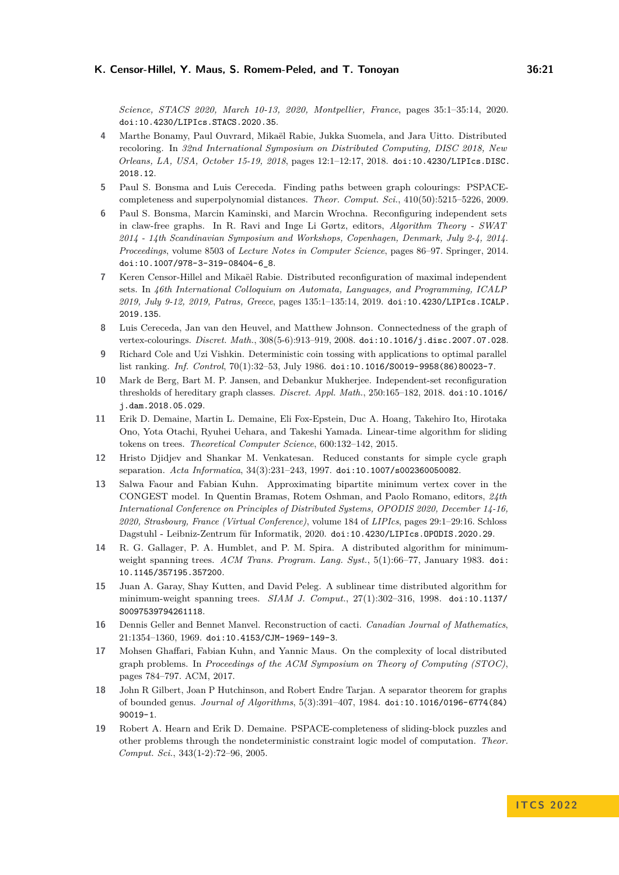*Science, STACS 2020, March 10-13, 2020, Montpellier, France*, pages 35:1–35:14, 2020. [doi:10.4230/LIPIcs.STACS.2020.35](https://doi.org/10.4230/LIPIcs.STACS.2020.35).

- <span id="page-20-7"></span>**4** Marthe Bonamy, Paul Ouvrard, Mikaël Rabie, Jukka Suomela, and Jara Uitto. Distributed recoloring. In *32nd International Symposium on Distributed Computing, DISC 2018, New Orleans, LA, USA, October 15-19, 2018*, pages 12:1–12:17, 2018. [doi:10.4230/LIPIcs.DISC.](https://doi.org/10.4230/LIPIcs.DISC.2018.12) [2018.12](https://doi.org/10.4230/LIPIcs.DISC.2018.12).
- <span id="page-20-3"></span>**5** Paul S. Bonsma and Luis Cereceda. Finding paths between graph colourings: PSPACEcompleteness and superpolynomial distances. *Theor. Comput. Sci.*, 410(50):5215–5226, 2009.
- <span id="page-20-4"></span>**6** Paul S. Bonsma, Marcin Kaminski, and Marcin Wrochna. Reconfiguring independent sets in claw-free graphs. In R. Ravi and Inge Li Gørtz, editors, *Algorithm Theory - SWAT 2014 - 14th Scandinavian Symposium and Workshops, Copenhagen, Denmark, July 2-4, 2014. Proceedings*, volume 8503 of *Lecture Notes in Computer Science*, pages 86–97. Springer, 2014. [doi:10.1007/978-3-319-08404-6\\_8](https://doi.org/10.1007/978-3-319-08404-6_8).
- <span id="page-20-8"></span>**7** Keren Censor-Hillel and Mikaël Rabie. Distributed reconfiguration of maximal independent sets. In *46th International Colloquium on Automata, Languages, and Programming, ICALP 2019, July 9-12, 2019, Patras, Greece*, pages 135:1–135:14, 2019. [doi:10.4230/LIPIcs.ICALP.](https://doi.org/10.4230/LIPIcs.ICALP.2019.135) [2019.135](https://doi.org/10.4230/LIPIcs.ICALP.2019.135).
- <span id="page-20-0"></span>**8** Luis Cereceda, Jan van den Heuvel, and Matthew Johnson. Connectedness of the graph of vertex-colourings. *Discret. Math.*, 308(5-6):913–919, 2008. [doi:10.1016/j.disc.2007.07.028](https://doi.org/10.1016/j.disc.2007.07.028).
- <span id="page-20-15"></span>**9** Richard Cole and Uzi Vishkin. Deterministic coin tossing with applications to optimal parallel list ranking. *Inf. Control*, 70(1):32–53, July 1986. [doi:10.1016/S0019-9958\(86\)80023-7](https://doi.org/10.1016/S0019-9958(86)80023-7).
- <span id="page-20-6"></span>**10** Mark de Berg, Bart M. P. Jansen, and Debankur Mukherjee. Independent-set reconfiguration thresholds of hereditary graph classes. *Discret. Appl. Math.*, 250:165–182, 2018. [doi:10.1016/](https://doi.org/10.1016/j.dam.2018.05.029) [j.dam.2018.05.029](https://doi.org/10.1016/j.dam.2018.05.029).
- <span id="page-20-5"></span>**11** Erik D. Demaine, Martin L. Demaine, Eli Fox-Epstein, Duc A. Hoang, Takehiro Ito, Hirotaka Ono, Yota Otachi, Ryuhei Uehara, and Takeshi Yamada. Linear-time algorithm for sliding tokens on trees. *Theoretical Computer Science*, 600:132–142, 2015.
- <span id="page-20-10"></span>**12** Hristo Djidjev and Shankar M. Venkatesan. Reduced constants for simple cycle graph separation. *Acta Informatica*, 34(3):231–243, 1997. [doi:10.1007/s002360050082](https://doi.org/10.1007/s002360050082).
- <span id="page-20-12"></span>**13** Salwa Faour and Fabian Kuhn. Approximating bipartite minimum vertex cover in the CONGEST model. In Quentin Bramas, Rotem Oshman, and Paolo Romano, editors, *24th International Conference on Principles of Distributed Systems, OPODIS 2020, December 14-16, 2020, Strasbourg, France (Virtual Conference)*, volume 184 of *LIPIcs*, pages 29:1–29:16. Schloss Dagstuhl - Leibniz-Zentrum für Informatik, 2020. [doi:10.4230/LIPIcs.OPODIS.2020.29](https://doi.org/10.4230/LIPIcs.OPODIS.2020.29).
- <span id="page-20-13"></span>**14** R. G. Gallager, P. A. Humblet, and P. M. Spira. A distributed algorithm for minimumweight spanning trees. *ACM Trans. Program. Lang. Syst.*, 5(1):66–77, January 1983. [doi:](https://doi.org/10.1145/357195.357200) [10.1145/357195.357200](https://doi.org/10.1145/357195.357200).
- <span id="page-20-14"></span>**15** Juan A. Garay, Shay Kutten, and David Peleg. A sublinear time distributed algorithm for minimum-weight spanning trees. *SIAM J. Comput.*, 27(1):302–316, 1998. [doi:10.1137/](https://doi.org/10.1137/S0097539794261118) [S0097539794261118](https://doi.org/10.1137/S0097539794261118).
- <span id="page-20-9"></span>**16** Dennis Geller and Bennet Manvel. Reconstruction of cacti. *Canadian Journal of Mathematics*, 21:1354–1360, 1969. [doi:10.4153/CJM-1969-149-3](https://doi.org/10.4153/CJM-1969-149-3).
- <span id="page-20-1"></span>**17** Mohsen Ghaffari, Fabian Kuhn, and Yannic Maus. On the complexity of local distributed graph problems. In *Proceedings of the ACM Symposium on Theory of Computing (STOC)*, pages 784–797. ACM, 2017.
- <span id="page-20-11"></span>**18** John R Gilbert, Joan P Hutchinson, and Robert Endre Tarjan. A separator theorem for graphs of bounded genus. *Journal of Algorithms*, 5(3):391–407, 1984. [doi:10.1016/0196-6774\(84\)](https://doi.org/10.1016/0196-6774(84)90019-1) [90019-1](https://doi.org/10.1016/0196-6774(84)90019-1).
- <span id="page-20-2"></span>**19** Robert A. Hearn and Erik D. Demaine. PSPACE-completeness of sliding-block puzzles and other problems through the nondeterministic constraint logic model of computation. *Theor. Comput. Sci.*, 343(1-2):72–96, 2005.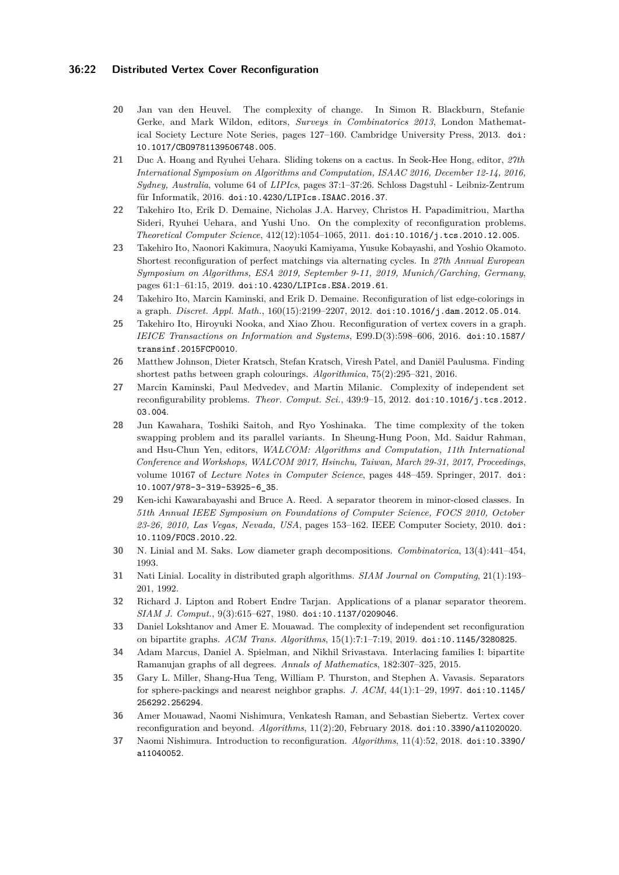### **36:22 Distributed Vertex Cover Reconfiguration**

- <span id="page-21-11"></span>**20** Jan van den Heuvel. The complexity of change. In Simon R. Blackburn, Stefanie Gerke, and Mark Wildon, editors, *Surveys in Combinatorics 2013*, London Mathematical Society Lecture Note Series, pages 127–160. Cambridge University Press, 2013. [doi:](https://doi.org/10.1017/CBO9781139506748.005) [10.1017/CBO9781139506748.005](https://doi.org/10.1017/CBO9781139506748.005).
- <span id="page-21-13"></span>**21** Duc A. Hoang and Ryuhei Uehara. Sliding tokens on a cactus. In Seok-Hee Hong, editor, *27th International Symposium on Algorithms and Computation, ISAAC 2016, December 12-14, 2016, Sydney, Australia*, volume 64 of *LIPIcs*, pages 37:1–37:26. Schloss Dagstuhl - Leibniz-Zentrum für Informatik, 2016. [doi:10.4230/LIPIcs.ISAAC.2016.37](https://doi.org/10.4230/LIPIcs.ISAAC.2016.37).
- <span id="page-21-8"></span>**22** Takehiro Ito, Erik D. Demaine, Nicholas J.A. Harvey, Christos H. Papadimitriou, Martha Sideri, Ryuhei Uehara, and Yushi Uno. On the complexity of reconfiguration problems. *Theoretical Computer Science*, 412(12):1054–1065, 2011. [doi:10.1016/j.tcs.2010.12.005](https://doi.org/10.1016/j.tcs.2010.12.005).
- <span id="page-21-1"></span>**23** Takehiro Ito, Naonori Kakimura, Naoyuki Kamiyama, Yusuke Kobayashi, and Yoshio Okamoto. Shortest reconfiguration of perfect matchings via alternating cycles. In *27th Annual European Symposium on Algorithms, ESA 2019, September 9-11, 2019, Munich/Garching, Germany*, pages 61:1–61:15, 2019. [doi:10.4230/LIPIcs.ESA.2019.61](https://doi.org/10.4230/LIPIcs.ESA.2019.61).
- <span id="page-21-0"></span>**24** Takehiro Ito, Marcin Kaminski, and Erik D. Demaine. Reconfiguration of list edge-colorings in a graph. *Discret. Appl. Math.*, 160(15):2199–2207, 2012. [doi:10.1016/j.dam.2012.05.014](https://doi.org/10.1016/j.dam.2012.05.014).
- <span id="page-21-5"></span>**25** Takehiro Ito, Hiroyuki Nooka, and Xiao Zhou. Reconfiguration of vertex covers in a graph. *IEICE Transactions on Information and Systems*, E99.D(3):598–606, 2016. [doi:10.1587/](https://doi.org/10.1587/transinf.2015FCP0010) [transinf.2015FCP0010](https://doi.org/10.1587/transinf.2015FCP0010).
- <span id="page-21-9"></span>**26** Matthew Johnson, Dieter Kratsch, Stefan Kratsch, Viresh Patel, and Daniël Paulusma. Finding shortest paths between graph colourings. *Algorithmica*, 75(2):295–321, 2016.
- <span id="page-21-2"></span>**27** Marcin Kaminski, Paul Medvedev, and Martin Milanic. Complexity of independent set reconfigurability problems. *Theor. Comput. Sci.*, 439:9–15, 2012. [doi:10.1016/j.tcs.2012.](https://doi.org/10.1016/j.tcs.2012.03.004) [03.004](https://doi.org/10.1016/j.tcs.2012.03.004).
- <span id="page-21-14"></span>**28** Jun Kawahara, Toshiki Saitoh, and Ryo Yoshinaka. The time complexity of the token swapping problem and its parallel variants. In Sheung-Hung Poon, Md. Saidur Rahman, and Hsu-Chun Yen, editors, *WALCOM: Algorithms and Computation, 11th International Conference and Workshops, WALCOM 2017, Hsinchu, Taiwan, March 29-31, 2017, Proceedings*, volume 10167 of *Lecture Notes in Computer Science*, pages 448–459. Springer, 2017. [doi:](https://doi.org/10.1007/978-3-319-53925-6_35) [10.1007/978-3-319-53925-6\\_35](https://doi.org/10.1007/978-3-319-53925-6_35).
- <span id="page-21-16"></span>**29** Ken-ichi Kawarabayashi and Bruce A. Reed. A separator theorem in minor-closed classes. In *51th Annual IEEE Symposium on Foundations of Computer Science, FOCS 2010, October 23-26, 2010, Las Vegas, Nevada, USA*, pages 153–162. IEEE Computer Society, 2010. [doi:](https://doi.org/10.1109/FOCS.2010.22) [10.1109/FOCS.2010.22](https://doi.org/10.1109/FOCS.2010.22).
- <span id="page-21-7"></span>**30** N. Linial and M. Saks. Low diameter graph decompositions. *Combinatorica*, 13(4):441–454, 1993.
- <span id="page-21-15"></span>**31** Nati Linial. Locality in distributed graph algorithms. *SIAM Journal on Computing*, 21(1):193– 201, 1992.
- <span id="page-21-4"></span>**32** Richard J. Lipton and Robert Endre Tarjan. Applications of a planar separator theorem. *SIAM J. Comput.*, 9(3):615–627, 1980. [doi:10.1137/0209046](https://doi.org/10.1137/0209046).
- <span id="page-21-3"></span>**33** Daniel Lokshtanov and Amer E. Mouawad. The complexity of independent set reconfiguration on bipartite graphs. *ACM Trans. Algorithms*, 15(1):7:1–7:19, 2019. [doi:10.1145/3280825](https://doi.org/10.1145/3280825).
- <span id="page-21-6"></span>**34** Adam Marcus, Daniel A. Spielman, and Nikhil Srivastava. Interlacing families I: bipartite Ramanujan graphs of all degrees. *Annals of Mathematics*, 182:307–325, 2015.
- <span id="page-21-17"></span>**35** Gary L. Miller, Shang-Hua Teng, William P. Thurston, and Stephen A. Vavasis. Separators for sphere-packings and nearest neighbor graphs. *J. ACM*, 44(1):1–29, 1997. [doi:10.1145/](https://doi.org/10.1145/256292.256294) [256292.256294](https://doi.org/10.1145/256292.256294).
- <span id="page-21-12"></span>**36** Amer Mouawad, Naomi Nishimura, Venkatesh Raman, and Sebastian Siebertz. Vertex cover reconfiguration and beyond. *Algorithms*, 11(2):20, February 2018. [doi:10.3390/a11020020](https://doi.org/10.3390/a11020020).
- <span id="page-21-10"></span>**37** Naomi Nishimura. Introduction to reconfiguration. *Algorithms*, 11(4):52, 2018. [doi:10.3390/](https://doi.org/10.3390/a11040052) [a11040052](https://doi.org/10.3390/a11040052).